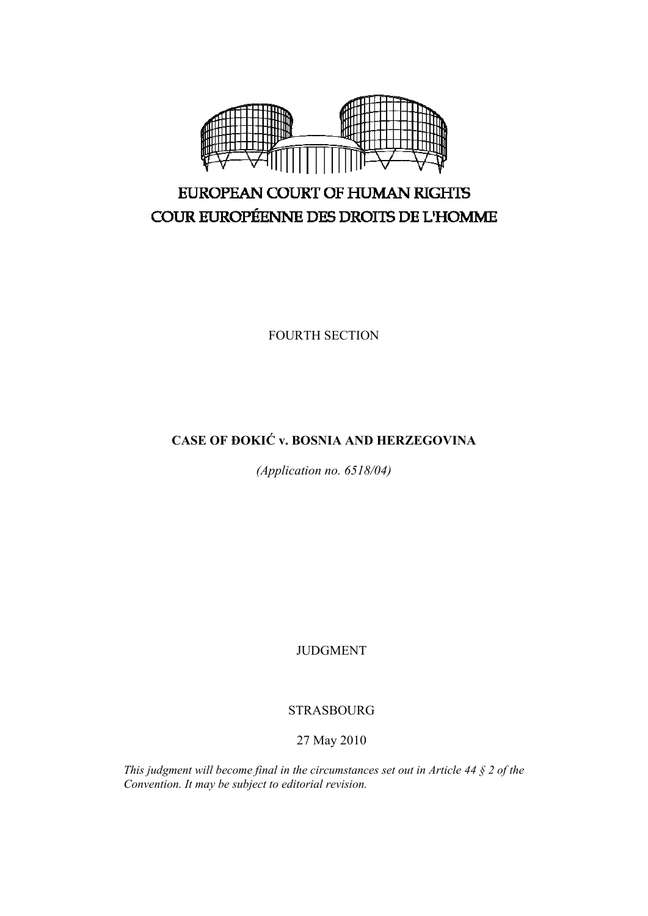

# EUROPEAN COURT OF HUMAN RIGHTS COUR EUROPÉENNE DES DROITS DE L'HOMME

FOURTH SECTION

# **CASE OF ĐOKIĆ v. BOSNIA AND HERZEGOVINA**

*(Application no. 6518/04)* 

JUDGMENT

# STRASBOURG

# 27 May 2010

*This judgment will become final in the circumstances set out in Article 44 § 2 of the Convention. It may be subject to editorial revision.*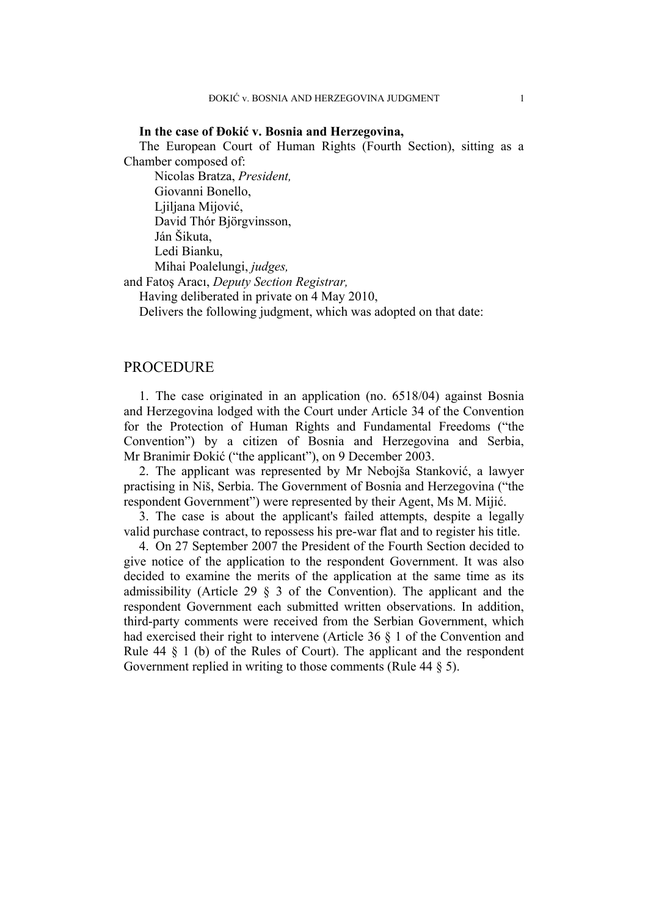### **In the case of Đokić v. Bosnia and Herzegovina,**

The European Court of Human Rights (Fourth Section), sitting as a Chamber composed of:

 Nicolas Bratza, *President,*  Giovanni Bonello, Ljiljana Mijović, David Thór Björgvinsson, Ján Šikuta, Ledi Bianku, Mihai Poalelungi, *judges,*

and Fatoş Aracı, *Deputy Section Registrar,*

Having deliberated in private on 4 May 2010,

Delivers the following judgment, which was adopted on that date:

# PROCEDURE

1. The case originated in an application (no. 6518/04) against Bosnia and Herzegovina lodged with the Court under Article 34 of the Convention for the Protection of Human Rights and Fundamental Freedoms ("the Convention") by a citizen of Bosnia and Herzegovina and Serbia, Mr Branimir Đokić ("the applicant"), on 9 December 2003.

2. The applicant was represented by Mr Nebojša Stanković, a lawyer practising in Niš, Serbia. The Government of Bosnia and Herzegovina ("the respondent Government") were represented by their Agent, Ms M. Mijić.

3. The case is about the applicant's failed attempts, despite a legally valid purchase contract, to repossess his pre-war flat and to register his title.

4. On 27 September 2007 the President of the Fourth Section decided to give notice of the application to the respondent Government. It was also decided to examine the merits of the application at the same time as its admissibility (Article 29 § 3 of the Convention). The applicant and the respondent Government each submitted written observations. In addition, third-party comments were received from the Serbian Government, which had exercised their right to intervene (Article 36 § 1 of the Convention and Rule  $44 \S$  1 (b) of the Rules of Court). The applicant and the respondent Government replied in writing to those comments (Rule 44 § 5).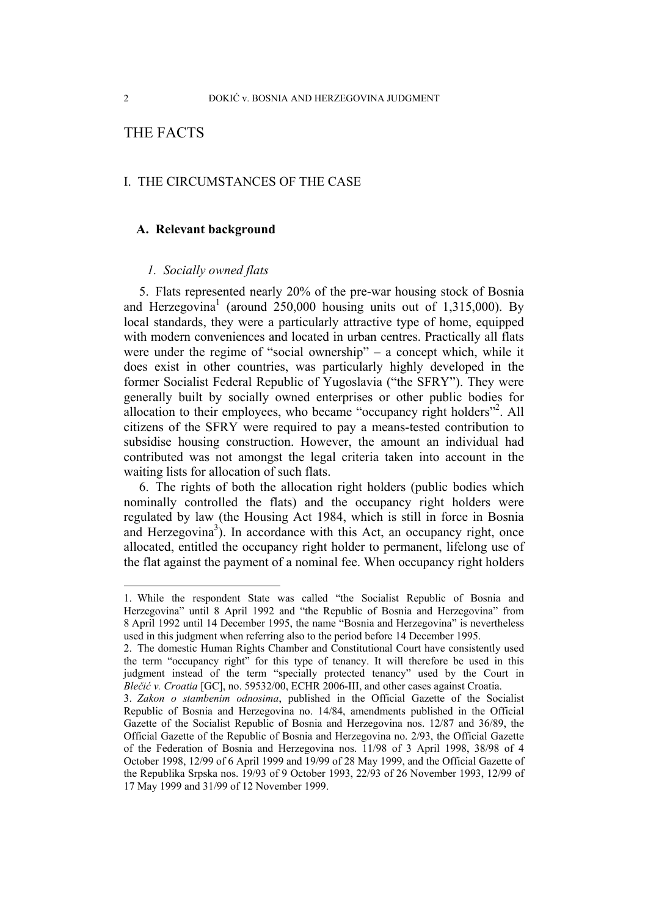# THE FACTS

# I. THE CIRCUMSTANCES OF THE CASE

#### **A. Relevant background**

### *1. Socially owned flats*

5. Flats represented nearly 20% of the pre-war housing stock of Bosnia and Herzegovina<sup>1</sup> (around  $250,000$  housing units out of 1,315,000). By local standards, they were a particularly attractive type of home, equipped with modern conveniences and located in urban centres. Practically all flats were under the regime of "social ownership" – a concept which, while it does exist in other countries, was particularly highly developed in the former Socialist Federal Republic of Yugoslavia ("the SFRY"). They were generally built by socially owned enterprises or other public bodies for allocation to their employees, who became "occupancy right holders"<sup>2</sup>. All citizens of the SFRY were required to pay a means-tested contribution to subsidise housing construction. However, the amount an individual had contributed was not amongst the legal criteria taken into account in the waiting lists for allocation of such flats.

6. The rights of both the allocation right holders (public bodies which nominally controlled the flats) and the occupancy right holders were regulated by law (the Housing Act 1984, which is still in force in Bosnia and Herzegovina<sup>3</sup>). In accordance with this Act, an occupancy right, once allocated, entitled the occupancy right holder to permanent, lifelong use of the flat against the payment of a nominal fee. When occupancy right holders

<sup>1.</sup> While the respondent State was called "the Socialist Republic of Bosnia and Herzegovina" until 8 April 1992 and "the Republic of Bosnia and Herzegovina" from 8 April 1992 until 14 December 1995, the name "Bosnia and Herzegovina" is nevertheless used in this judgment when referring also to the period before 14 December 1995.

<sup>2.</sup> The domestic Human Rights Chamber and Constitutional Court have consistently used the term "occupancy right" for this type of tenancy. It will therefore be used in this judgment instead of the term "specially protected tenancy" used by the Court in *Blečić v. Croatia* [GC], no. 59532/00, ECHR 2006-III, and other cases against Croatia.

<sup>3.</sup> *Zakon o stambenim odnosima*, published in the Official Gazette of the Socialist Republic of Bosnia and Herzegovina no. 14/84, amendments published in the Official Gazette of the Socialist Republic of Bosnia and Herzegovina nos. 12/87 and 36/89, the Official Gazette of the Republic of Bosnia and Herzegovina no. 2/93, the Official Gazette of the Federation of Bosnia and Herzegovina nos. 11/98 of 3 April 1998, 38/98 of 4 October 1998, 12/99 of 6 April 1999 and 19/99 of 28 May 1999, and the Official Gazette of the Republika Srpska nos. 19/93 of 9 October 1993, 22/93 of 26 November 1993, 12/99 of 17 May 1999 and 31/99 of 12 November 1999.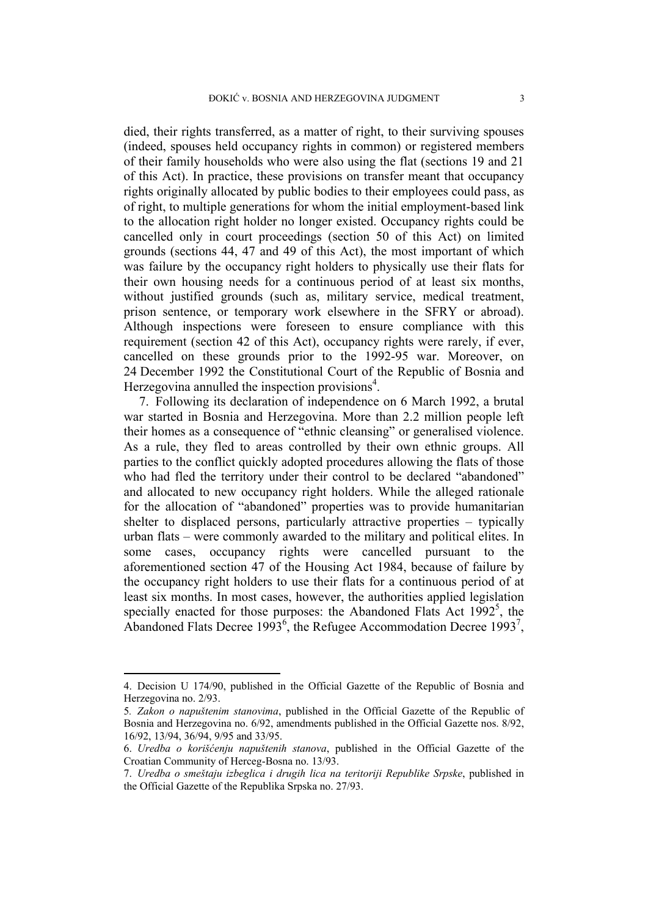died, their rights transferred, as a matter of right, to their surviving spouses (indeed, spouses held occupancy rights in common) or registered members of their family households who were also using the flat (sections 19 and 21 of this Act). In practice, these provisions on transfer meant that occupancy rights originally allocated by public bodies to their employees could pass, as of right, to multiple generations for whom the initial employment-based link to the allocation right holder no longer existed. Occupancy rights could be cancelled only in court proceedings (section 50 of this Act) on limited grounds (sections 44, 47 and 49 of this Act), the most important of which was failure by the occupancy right holders to physically use their flats for their own housing needs for a continuous period of at least six months, without justified grounds (such as, military service, medical treatment, prison sentence, or temporary work elsewhere in the SFRY or abroad). Although inspections were foreseen to ensure compliance with this requirement (section 42 of this Act), occupancy rights were rarely, if ever, cancelled on these grounds prior to the 1992-95 war. Moreover, on 24 December 1992 the Constitutional Court of the Republic of Bosnia and Herzegovina annulled the inspection provisions $4$ .

7. Following its declaration of independence on 6 March 1992, a brutal war started in Bosnia and Herzegovina. More than 2.2 million people left their homes as a consequence of "ethnic cleansing" or generalised violence. As a rule, they fled to areas controlled by their own ethnic groups. All parties to the conflict quickly adopted procedures allowing the flats of those who had fled the territory under their control to be declared "abandoned" and allocated to new occupancy right holders. While the alleged rationale for the allocation of "abandoned" properties was to provide humanitarian shelter to displaced persons, particularly attractive properties – typically urban flats – were commonly awarded to the military and political elites. In some cases, occupancy rights were cancelled pursuant to the aforementioned section 47 of the Housing Act 1984, because of failure by the occupancy right holders to use their flats for a continuous period of at least six months. In most cases, however, the authorities applied legislation specially enacted for those purposes: the Abandoned Flats Act  $1992^5$ , the Abandoned Flats Decree 1993<sup>6</sup>, the Refugee Accommodation Decree 1993<sup>7</sup>,

<sup>4.</sup> Decision U 174/90, published in the Official Gazette of the Republic of Bosnia and Herzegovina no. 2/93.

<sup>5</sup>*. Zakon o napuštenim stanovima*, published in the Official Gazette of the Republic of Bosnia and Herzegovina no. 6/92, amendments published in the Official Gazette nos. 8/92, 16/92, 13/94, 36/94, 9/95 and 33/95.

<sup>6.</sup> *Uredba o korišćenju napuštenih stanova*, published in the Official Gazette of the Croatian Community of Herceg-Bosna no. 13/93.

<sup>7.</sup> *Uredba o smeštaju izbeglica i drugih lica na teritoriji Republike Srpske*, published in the Official Gazette of the Republika Srpska no. 27/93.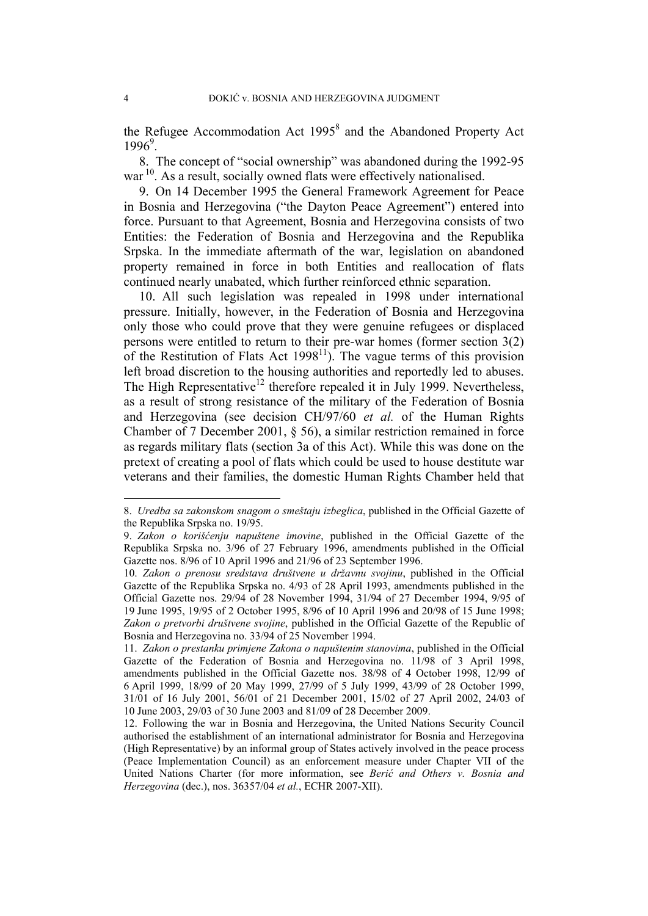the Refugee Accommodation Act  $1995<sup>8</sup>$  and the Abandoned Property Act  $1996^9$ .

8. The concept of "social ownership" was abandoned during the 1992-95 war<sup>10</sup>. As a result, socially owned flats were effectively nationalised.

9. On 14 December 1995 the General Framework Agreement for Peace in Bosnia and Herzegovina ("the Dayton Peace Agreement") entered into force. Pursuant to that Agreement, Bosnia and Herzegovina consists of two Entities: the Federation of Bosnia and Herzegovina and the Republika Srpska. In the immediate aftermath of the war, legislation on abandoned property remained in force in both Entities and reallocation of flats continued nearly unabated, which further reinforced ethnic separation.

10. All such legislation was repealed in 1998 under international pressure. Initially, however, in the Federation of Bosnia and Herzegovina only those who could prove that they were genuine refugees or displaced persons were entitled to return to their pre-war homes (former section 3(2) of the Restitution of Flats Act  $1998<sup>11</sup>$ ). The vague terms of this provision left broad discretion to the housing authorities and reportedly led to abuses. The High Representative<sup>12</sup> therefore repealed it in July 1999. Nevertheless, as a result of strong resistance of the military of the Federation of Bosnia and Herzegovina (see decision CH/97/60 *et al.* of the Human Rights Chamber of 7 December 2001, § 56), a similar restriction remained in force as regards military flats (section 3a of this Act). While this was done on the pretext of creating a pool of flats which could be used to house destitute war veterans and their families, the domestic Human Rights Chamber held that

<sup>8.</sup> *Uredba sa zakonskom snagom o smeštaju izbeglica*, published in the Official Gazette of the Republika Srpska no. 19/95.

<sup>9.</sup> *Zakon o korišćenju napuštene imovine*, published in the Official Gazette of the Republika Srpska no. 3/96 of 27 February 1996, amendments published in the Official Gazette nos. 8/96 of 10 April 1996 and 21/96 of 23 September 1996.

<sup>10.</sup> *Zakon o prenosu sredstava društvene u državnu svojinu*, published in the Official Gazette of the Republika Srpska no. 4/93 of 28 April 1993, amendments published in the Official Gazette nos. 29/94 of 28 November 1994, 31/94 of 27 December 1994, 9/95 of 19 June 1995, 19/95 of 2 October 1995, 8/96 of 10 April 1996 and 20/98 of 15 June 1998; *Zakon o pretvorbi društvene svojine*, published in the Official Gazette of the Republic of Bosnia and Herzegovina no. 33/94 of 25 November 1994.

<sup>11.</sup> *Zakon o prestanku primjene Zakona o napuštenim stanovima*, published in the Official Gazette of the Federation of Bosnia and Herzegovina no. 11/98 of 3 April 1998, amendments published in the Official Gazette nos. 38/98 of 4 October 1998, 12/99 of 6 April 1999, 18/99 of 20 May 1999, 27/99 of 5 July 1999, 43/99 of 28 October 1999, 31/01 of 16 July 2001, 56/01 of 21 December 2001, 15/02 of 27 April 2002, 24/03 of 10 June 2003, 29/03 of 30 June 2003 and 81/09 of 28 December 2009.

<sup>12.</sup> Following the war in Bosnia and Herzegovina, the United Nations Security Council authorised the establishment of an international administrator for Bosnia and Herzegovina (High Representative) by an informal group of States actively involved in the peace process (Peace Implementation Council) as an enforcement measure under Chapter VII of the United Nations Charter (for more information, see *Berić and Others v. Bosnia and Herzegovina* (dec.), nos. 36357/04 *et al.*, ECHR 2007-XII).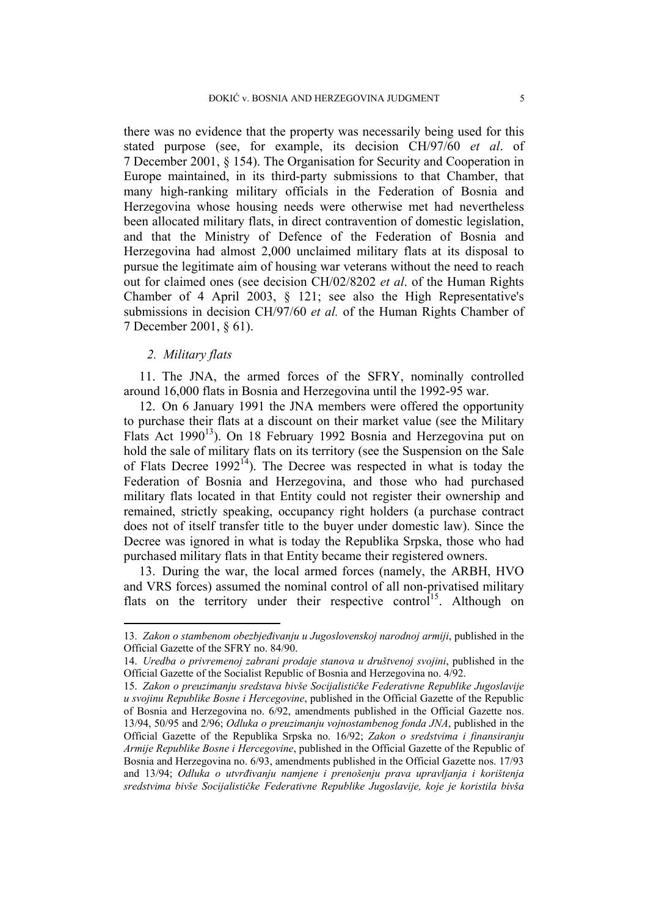there was no evidence that the property was necessarily being used for this stated purpose (see, for example, its decision CH/97/60 *et al*. of 7 December 2001, § 154). The Organisation for Security and Cooperation in Europe maintained, in its third-party submissions to that Chamber, that many high-ranking military officials in the Federation of Bosnia and Herzegovina whose housing needs were otherwise met had nevertheless been allocated military flats, in direct contravention of domestic legislation, and that the Ministry of Defence of the Federation of Bosnia and Herzegovina had almost 2,000 unclaimed military flats at its disposal to pursue the legitimate aim of housing war veterans without the need to reach out for claimed ones (see decision CH/02/8202 *et al*. of the Human Rights Chamber of 4 April 2003, § 121; see also the High Representative's submissions in decision CH/97/60 *et al.* of the Human Rights Chamber of 7 December 2001, § 61).

### *2. Military flats*

1

11. The JNA, the armed forces of the SFRY, nominally controlled around 16,000 flats in Bosnia and Herzegovina until the 1992-95 war.

12. On 6 January 1991 the JNA members were offered the opportunity to purchase their flats at a discount on their market value (see the Military Flats Act 1990<sup>13</sup>). On 18 February 1992 Bosnia and Herzegovina put on hold the sale of military flats on its territory (see the Suspension on the Sale of Flats Decree 1992<sup>14</sup>). The Decree was respected in what is today the Federation of Bosnia and Herzegovina, and those who had purchased military flats located in that Entity could not register their ownership and remained, strictly speaking, occupancy right holders (a purchase contract does not of itself transfer title to the buyer under domestic law). Since the Decree was ignored in what is today the Republika Srpska, those who had purchased military flats in that Entity became their registered owners.

13. During the war, the local armed forces (namely, the ARBH, HVO and VRS forces) assumed the nominal control of all non-privatised military flats on the territory under their respective control<sup>15</sup>. Although on

<sup>13.</sup> *Zakon o stambenom obezbjeđivanju u Jugoslovenskoj narodnoj armiji*, published in the Official Gazette of the SFRY no. 84/90.

<sup>14.</sup> *Uredba o privremenoj zabrani prodaje stanova u društvenoj svojini*, published in the Official Gazette of the Socialist Republic of Bosnia and Herzegovina no. 4/92.

<sup>15.</sup> *Zakon o preuzimanju sredstava bivše Socijalističke Federativne Republike Jugoslavije u svojinu Republike Bosne i Hercegovine*, published in the Official Gazette of the Republic of Bosnia and Herzegovina no. 6/92, amendments published in the Official Gazette nos. 13/94, 50/95 and 2/96; *Odluka o preuzimanju vojnostambenog fonda JNA*, published in the Official Gazette of the Republika Srpska no. 16/92; *Zakon o sredstvima i finansiranju Armije Republike Bosne i Hercegovine*, published in the Official Gazette of the Republic of Bosnia and Herzegovina no. 6/93, amendments published in the Official Gazette nos. 17/93 and 13/94; *Odluka o utvrđivanju namjene i prenošenju prava upravljanja i korištenja sredstvima bivše Socijalističke Federativne Republike Jugoslavije, koje je koristila bivša*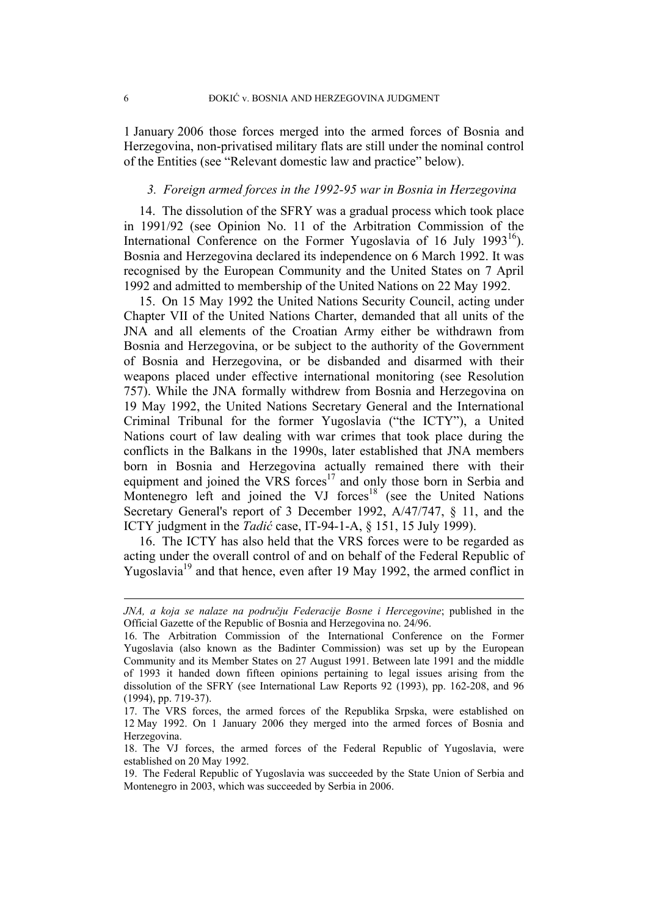1 January 2006 those forces merged into the armed forces of Bosnia and Herzegovina, non-privatised military flats are still under the nominal control of the Entities (see "Relevant domestic law and practice" below).

# *3. Foreign armed forces in the 1992-95 war in Bosnia in Herzegovina*

14. The dissolution of the SFRY was a gradual process which took place in 1991/92 (see Opinion No. 11 of the Arbitration Commission of the International Conference on the Former Yugoslavia of 16 July 1993<sup>16</sup>). Bosnia and Herzegovina declared its independence on 6 March 1992. It was recognised by the European Community and the United States on 7 April 1992 and admitted to membership of the United Nations on 22 May 1992.

15. On 15 May 1992 the United Nations Security Council, acting under Chapter VII of the United Nations Charter, demanded that all units of the JNA and all elements of the Croatian Army either be withdrawn from Bosnia and Herzegovina, or be subject to the authority of the Government of Bosnia and Herzegovina, or be disbanded and disarmed with their weapons placed under effective international monitoring (see Resolution 757). While the JNA formally withdrew from Bosnia and Herzegovina on 19 May 1992, the United Nations Secretary General and the International Criminal Tribunal for the former Yugoslavia ("the ICTY"), a United Nations court of law dealing with war crimes that took place during the conflicts in the Balkans in the 1990s, later established that JNA members born in Bosnia and Herzegovina actually remained there with their equipment and joined the VRS forces<sup>17</sup> and only those born in Serbia and Montenegro left and joined the VJ forces<sup>18</sup> (see the United Nations Secretary General's report of 3 December 1992, A/47/747, § 11, and the ICTY judgment in the *Tadić* case, IT-94-1-A, § 151, 15 July 1999).

16. The ICTY has also held that the VRS forces were to be regarded as acting under the overall control of and on behalf of the Federal Republic of Yugoslavia<sup>19</sup> and that hence, even after 19 May 1992, the armed conflict in

<u>.</u>

*JNA, a koja se nalaze na području Federacije Bosne i Hercegovine*; published in the Official Gazette of the Republic of Bosnia and Herzegovina no. 24/96.

<sup>16.</sup> The Arbitration Commission of the International Conference on the Former Yugoslavia (also known as the Badinter Commission) was set up by the European Community and its Member States on 27 August 1991. Between late 1991 and the middle of 1993 it handed down fifteen opinions pertaining to legal issues arising from the dissolution of the SFRY (see International Law Reports 92 (1993), pp. 162-208, and 96 (1994), pp. 719-37).

<sup>17.</sup> The VRS forces, the armed forces of the Republika Srpska, were established on 12 May 1992. On 1 January 2006 they merged into the armed forces of Bosnia and Herzegovina.

<sup>18.</sup> The VJ forces, the armed forces of the Federal Republic of Yugoslavia, were established on 20 May 1992.

<sup>19.</sup> The Federal Republic of Yugoslavia was succeeded by the State Union of Serbia and Montenegro in 2003, which was succeeded by Serbia in 2006.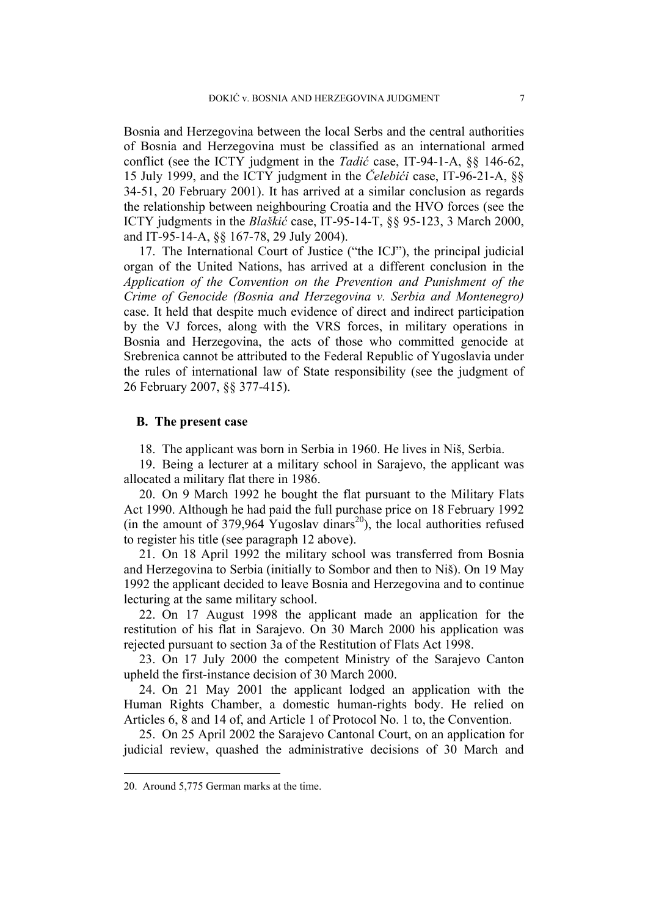Bosnia and Herzegovina between the local Serbs and the central authorities of Bosnia and Herzegovina must be classified as an international armed conflict (see the ICTY judgment in the *Tadić* case, IT-94-1-A, §§ 146-62, 15 July 1999, and the ICTY judgment in the *Čelebići* case, IT-96-21-A, §§ 34-51, 20 February 2001). It has arrived at a similar conclusion as regards the relationship between neighbouring Croatia and the HVO forces (see the ICTY judgments in the *Blaškić* case, IT-95-14-T, §§ 95-123, 3 March 2000, and IT-95-14-A, §§ 167-78, 29 July 2004).

17. The International Court of Justice ("the ICJ"), the principal judicial organ of the United Nations, has arrived at a different conclusion in the *Application of the Convention on the Prevention and Punishment of the Crime of Genocide (Bosnia and Herzegovina v. Serbia and Montenegro)* case. It held that despite much evidence of direct and indirect participation by the VJ forces, along with the VRS forces, in military operations in Bosnia and Herzegovina, the acts of those who committed genocide at Srebrenica cannot be attributed to the Federal Republic of Yugoslavia under the rules of international law of State responsibility (see the judgment of 26 February 2007, §§ 377-415).

### **B. The present case**

18. The applicant was born in Serbia in 1960. He lives in Niš, Serbia.

19. Being a lecturer at a military school in Sarajevo, the applicant was allocated a military flat there in 1986.

20. On 9 March 1992 he bought the flat pursuant to the Military Flats Act 1990. Although he had paid the full purchase price on 18 February 1992 (in the amount of 379,964 Yugoslav dinars<sup>20</sup>), the local authorities refused to register his title (see paragraph 12 above).

21. On 18 April 1992 the military school was transferred from Bosnia and Herzegovina to Serbia (initially to Sombor and then to Niš). On 19 May 1992 the applicant decided to leave Bosnia and Herzegovina and to continue lecturing at the same military school.

22. On 17 August 1998 the applicant made an application for the restitution of his flat in Sarajevo. On 30 March 2000 his application was rejected pursuant to section 3a of the Restitution of Flats Act 1998.

23. On 17 July 2000 the competent Ministry of the Sarajevo Canton upheld the first-instance decision of 30 March 2000.

24. On 21 May 2001 the applicant lodged an application with the Human Rights Chamber, a domestic human-rights body. He relied on Articles 6, 8 and 14 of, and Article 1 of Protocol No. 1 to, the Convention.

25. On 25 April 2002 the Sarajevo Cantonal Court, on an application for judicial review, quashed the administrative decisions of 30 March and

<sup>20.</sup> Around 5,775 German marks at the time.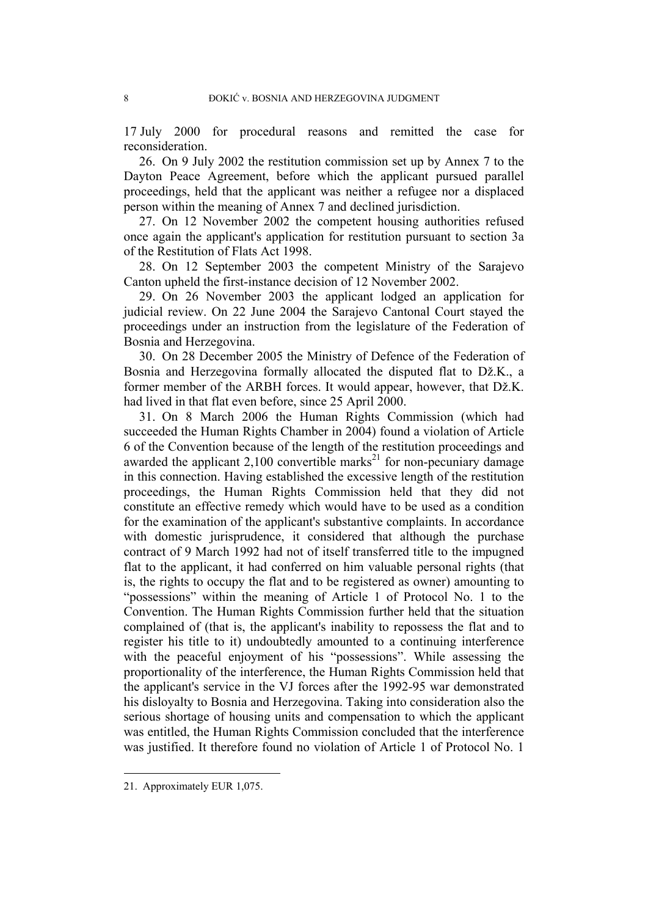17 July 2000 for procedural reasons and remitted the case for reconsideration.

26. On 9 July 2002 the restitution commission set up by Annex 7 to the Dayton Peace Agreement, before which the applicant pursued parallel proceedings, held that the applicant was neither a refugee nor a displaced person within the meaning of Annex 7 and declined jurisdiction.

27. On 12 November 2002 the competent housing authorities refused once again the applicant's application for restitution pursuant to section 3a of the Restitution of Flats Act 1998.

28. On 12 September 2003 the competent Ministry of the Sarajevo Canton upheld the first-instance decision of 12 November 2002.

29. On 26 November 2003 the applicant lodged an application for judicial review. On 22 June 2004 the Sarajevo Cantonal Court stayed the proceedings under an instruction from the legislature of the Federation of Bosnia and Herzegovina.

30. On 28 December 2005 the Ministry of Defence of the Federation of Bosnia and Herzegovina formally allocated the disputed flat to Dž.K., a former member of the ARBH forces. It would appear, however, that Dž.K. had lived in that flat even before, since 25 April 2000.

31. On 8 March 2006 the Human Rights Commission (which had succeeded the Human Rights Chamber in 2004) found a violation of Article 6 of the Convention because of the length of the restitution proceedings and awarded the applicant  $2,100$  convertible marks<sup>21</sup> for non-pecuniary damage in this connection. Having established the excessive length of the restitution proceedings, the Human Rights Commission held that they did not constitute an effective remedy which would have to be used as a condition for the examination of the applicant's substantive complaints. In accordance with domestic jurisprudence, it considered that although the purchase contract of 9 March 1992 had not of itself transferred title to the impugned flat to the applicant, it had conferred on him valuable personal rights (that is, the rights to occupy the flat and to be registered as owner) amounting to "possessions" within the meaning of Article 1 of Protocol No. 1 to the Convention. The Human Rights Commission further held that the situation complained of (that is, the applicant's inability to repossess the flat and to register his title to it) undoubtedly amounted to a continuing interference with the peaceful enjoyment of his "possessions". While assessing the proportionality of the interference, the Human Rights Commission held that the applicant's service in the VJ forces after the 1992-95 war demonstrated his disloyalty to Bosnia and Herzegovina. Taking into consideration also the serious shortage of housing units and compensation to which the applicant was entitled, the Human Rights Commission concluded that the interference was justified. It therefore found no violation of Article 1 of Protocol No. 1

<sup>21.</sup> Approximately EUR 1,075.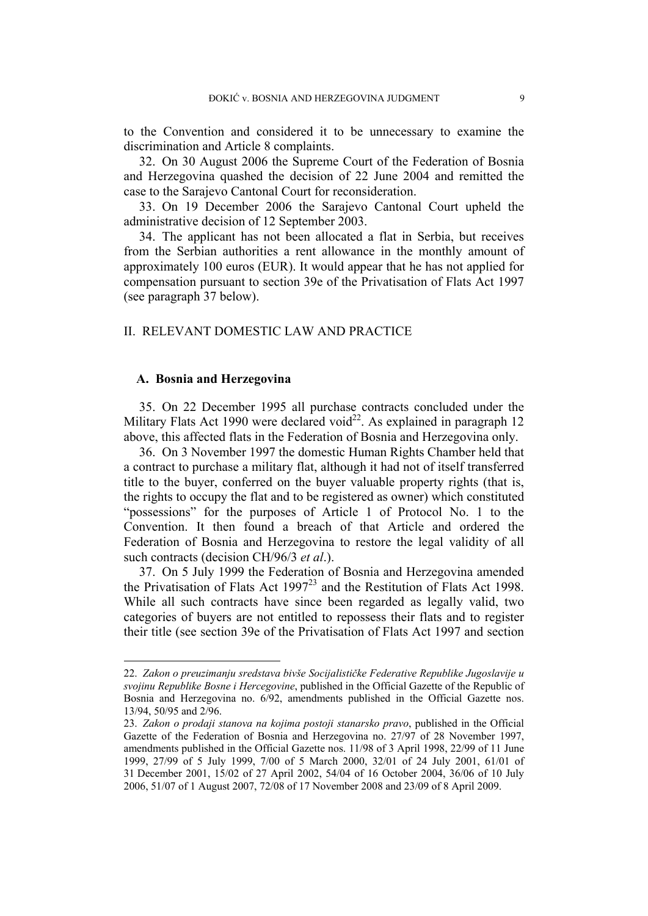to the Convention and considered it to be unnecessary to examine the discrimination and Article 8 complaints.

32. On 30 August 2006 the Supreme Court of the Federation of Bosnia and Herzegovina quashed the decision of 22 June 2004 and remitted the case to the Sarajevo Cantonal Court for reconsideration.

33. On 19 December 2006 the Sarajevo Cantonal Court upheld the administrative decision of 12 September 2003.

34. The applicant has not been allocated a flat in Serbia, but receives from the Serbian authorities a rent allowance in the monthly amount of approximately 100 euros (EUR). It would appear that he has not applied for compensation pursuant to section 39e of the Privatisation of Flats Act 1997 (see paragraph 37 below).

# II. RELEVANT DOMESTIC LAW AND PRACTICE

# **A. Bosnia and Herzegovina**

1

35. On 22 December 1995 all purchase contracts concluded under the Military Flats Act 1990 were declared void<sup>22</sup>. As explained in paragraph 12 above, this affected flats in the Federation of Bosnia and Herzegovina only.

36. On 3 November 1997 the domestic Human Rights Chamber held that a contract to purchase a military flat, although it had not of itself transferred title to the buyer, conferred on the buyer valuable property rights (that is, the rights to occupy the flat and to be registered as owner) which constituted "possessions" for the purposes of Article 1 of Protocol No. 1 to the Convention. It then found a breach of that Article and ordered the Federation of Bosnia and Herzegovina to restore the legal validity of all such contracts (decision CH/96/3 *et al*.).

37. On 5 July 1999 the Federation of Bosnia and Herzegovina amended the Privatisation of Flats Act 1997<sup>23</sup> and the Restitution of Flats Act 1998. While all such contracts have since been regarded as legally valid, two categories of buyers are not entitled to repossess their flats and to register their title (see section 39e of the Privatisation of Flats Act 1997 and section

<sup>22.</sup> *Zakon o preuzimanju sredstava bivše Socijalističke Federative Republike Jugoslavije u svojinu Republike Bosne i Hercegovine*, published in the Official Gazette of the Republic of Bosnia and Herzegovina no. 6/92, amendments published in the Official Gazette nos. 13/94, 50/95 and 2/96.

<sup>23.</sup> *Zakon o prodaji stanova na kojima postoji stanarsko pravo*, published in the Official Gazette of the Federation of Bosnia and Herzegovina no. 27/97 of 28 November 1997, amendments published in the Official Gazette nos. 11/98 of 3 April 1998, 22/99 of 11 June 1999, 27/99 of 5 July 1999, 7/00 of 5 March 2000, 32/01 of 24 July 2001, 61/01 of 31 December 2001, 15/02 of 27 April 2002, 54/04 of 16 October 2004, 36/06 of 10 July 2006, 51/07 of 1 August 2007, 72/08 of 17 November 2008 and 23/09 of 8 April 2009.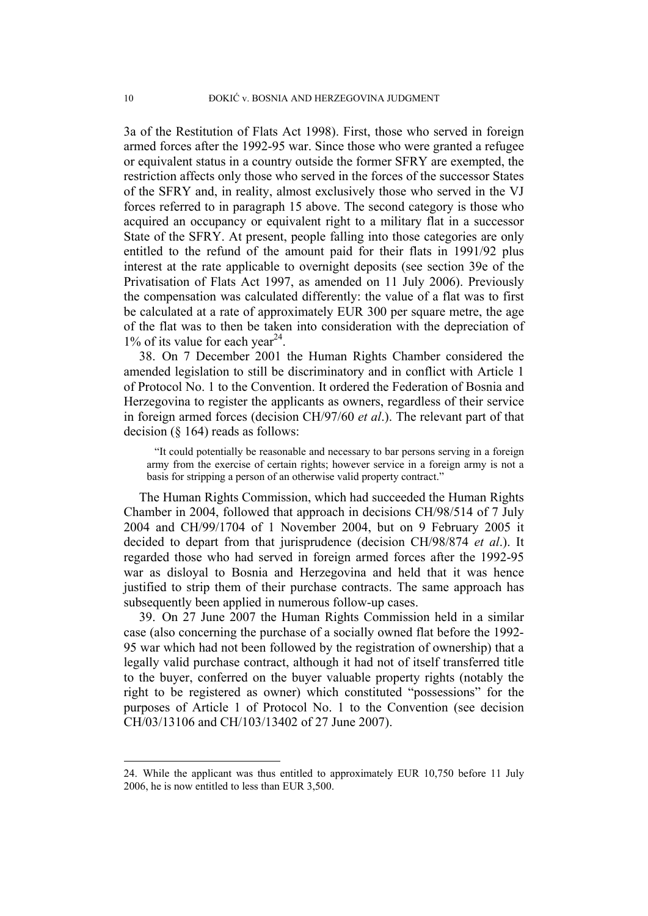3a of the Restitution of Flats Act 1998). First, those who served in foreign armed forces after the 1992-95 war. Since those who were granted a refugee or equivalent status in a country outside the former SFRY are exempted, the restriction affects only those who served in the forces of the successor States of the SFRY and, in reality, almost exclusively those who served in the VJ forces referred to in paragraph 15 above. The second category is those who acquired an occupancy or equivalent right to a military flat in a successor State of the SFRY. At present, people falling into those categories are only entitled to the refund of the amount paid for their flats in 1991/92 plus interest at the rate applicable to overnight deposits (see section 39e of the Privatisation of Flats Act 1997, as amended on 11 July 2006). Previously the compensation was calculated differently: the value of a flat was to first be calculated at a rate of approximately EUR 300 per square metre, the age of the flat was to then be taken into consideration with the depreciation of  $1\%$  of its value for each year<sup>24</sup>.

38. On 7 December 2001 the Human Rights Chamber considered the amended legislation to still be discriminatory and in conflict with Article 1 of Protocol No. 1 to the Convention. It ordered the Federation of Bosnia and Herzegovina to register the applicants as owners, regardless of their service in foreign armed forces (decision CH/97/60 *et al*.). The relevant part of that decision (§ 164) reads as follows:

"It could potentially be reasonable and necessary to bar persons serving in a foreign army from the exercise of certain rights; however service in a foreign army is not a basis for stripping a person of an otherwise valid property contract."

The Human Rights Commission, which had succeeded the Human Rights Chamber in 2004, followed that approach in decisions CH/98/514 of 7 July 2004 and CH/99/1704 of 1 November 2004, but on 9 February 2005 it decided to depart from that jurisprudence (decision CH/98/874 *et al*.). It regarded those who had served in foreign armed forces after the 1992-95 war as disloyal to Bosnia and Herzegovina and held that it was hence justified to strip them of their purchase contracts. The same approach has subsequently been applied in numerous follow-up cases.

39. On 27 June 2007 the Human Rights Commission held in a similar case (also concerning the purchase of a socially owned flat before the 1992- 95 war which had not been followed by the registration of ownership) that a legally valid purchase contract, although it had not of itself transferred title to the buyer, conferred on the buyer valuable property rights (notably the right to be registered as owner) which constituted "possessions" for the purposes of Article 1 of Protocol No. 1 to the Convention (see decision CH/03/13106 and CH/103/13402 of 27 June 2007).

<sup>24.</sup> While the applicant was thus entitled to approximately EUR 10,750 before 11 July 2006, he is now entitled to less than EUR 3,500.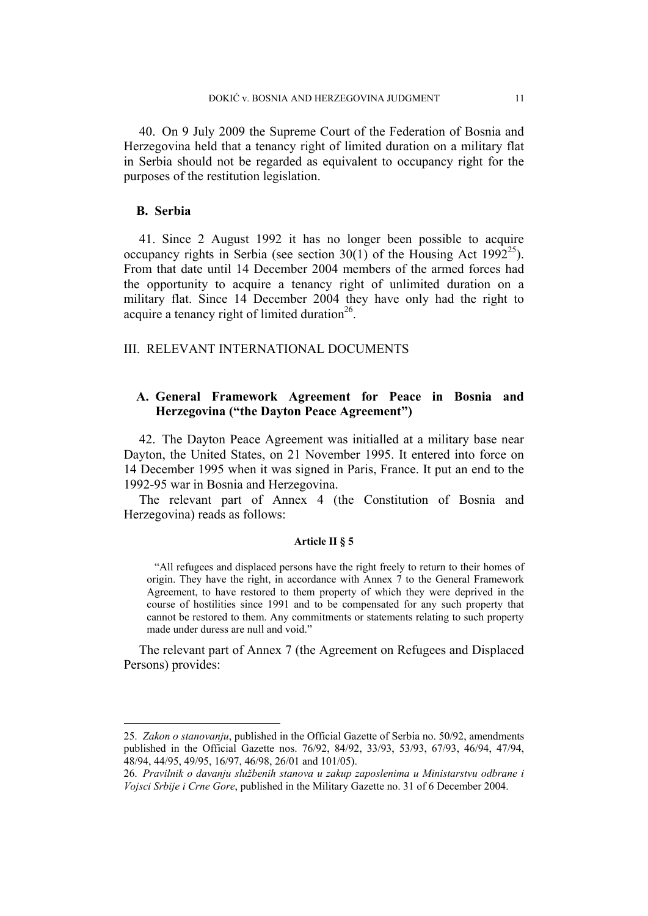40. On 9 July 2009 the Supreme Court of the Federation of Bosnia and Herzegovina held that a tenancy right of limited duration on a military flat in Serbia should not be regarded as equivalent to occupancy right for the purposes of the restitution legislation.

# **B. Serbia**

1

41. Since 2 August 1992 it has no longer been possible to acquire occupancy rights in Serbia (see section 30(1) of the Housing Act 1992<sup>25</sup>). From that date until 14 December 2004 members of the armed forces had the opportunity to acquire a tenancy right of unlimited duration on a military flat. Since 14 December 2004 they have only had the right to acquire a tenancy right of limited duration $^{26}$ .

### III. RELEVANT INTERNATIONAL DOCUMENTS

# **A. General Framework Agreement for Peace in Bosnia and Herzegovina ("the Dayton Peace Agreement")**

42. The Dayton Peace Agreement was initialled at a military base near Dayton, the United States, on 21 November 1995. It entered into force on 14 December 1995 when it was signed in Paris, France. It put an end to the 1992-95 war in Bosnia and Herzegovina.

The relevant part of Annex 4 (the Constitution of Bosnia and Herzegovina) reads as follows:

### **Article II § 5**

"All refugees and displaced persons have the right freely to return to their homes of origin. They have the right, in accordance with Annex 7 to the General Framework Agreement, to have restored to them property of which they were deprived in the course of hostilities since 1991 and to be compensated for any such property that cannot be restored to them. Any commitments or statements relating to such property made under duress are null and void."

The relevant part of Annex 7 (the Agreement on Refugees and Displaced Persons) provides:

<sup>25.</sup> *Zakon o stanovanju*, published in the Official Gazette of Serbia no. 50/92, amendments published in the Official Gazette nos. 76/92, 84/92, 33/93, 53/93, 67/93, 46/94, 47/94, 48/94, 44/95, 49/95, 16/97, 46/98, 26/01 and 101/05).

<sup>26.</sup> *Pravilnik o davanju službenih stanova u zakup zaposlenima u Ministarstvu odbrane i Vojsci Srbije i Crne Gore*, published in the Military Gazette no. 31 of 6 December 2004.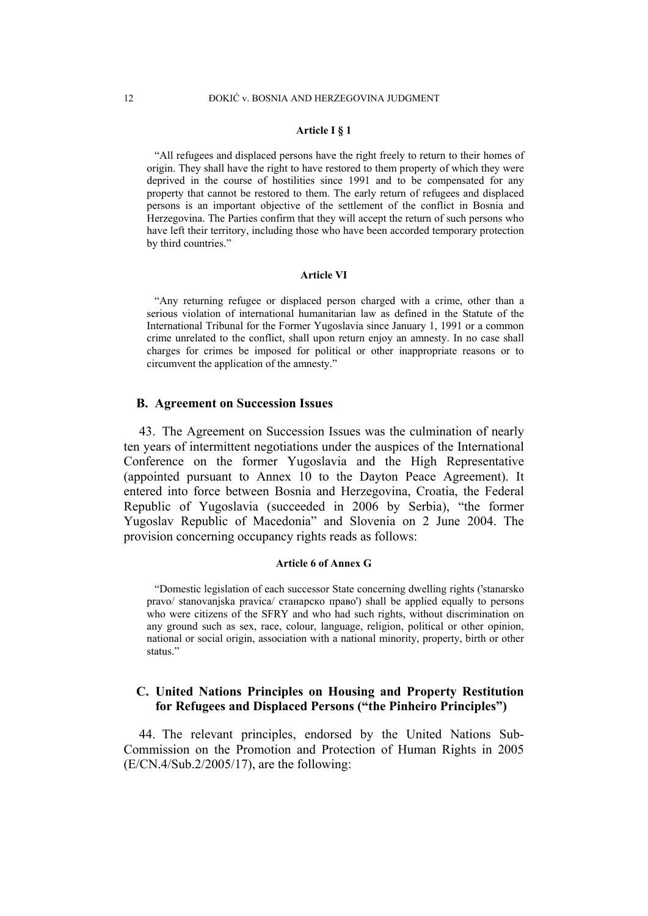#### **Article I § 1**

"All refugees and displaced persons have the right freely to return to their homes of origin. They shall have the right to have restored to them property of which they were deprived in the course of hostilities since 1991 and to be compensated for any property that cannot be restored to them. The early return of refugees and displaced persons is an important objective of the settlement of the conflict in Bosnia and Herzegovina. The Parties confirm that they will accept the return of such persons who have left their territory, including those who have been accorded temporary protection by third countries."

#### **Article VI**

"Any returning refugee or displaced person charged with a crime, other than a serious violation of international humanitarian law as defined in the Statute of the International Tribunal for the Former Yugoslavia since January 1, 1991 or a common crime unrelated to the conflict, shall upon return enjoy an amnesty. In no case shall charges for crimes be imposed for political or other inappropriate reasons or to circumvent the application of the amnesty."

#### **B. Agreement on Succession Issues**

43. The Agreement on Succession Issues was the culmination of nearly ten years of intermittent negotiations under the auspices of the International Conference on the former Yugoslavia and the High Representative (appointed pursuant to Annex 10 to the Dayton Peace Agreement). It entered into force between Bosnia and Herzegovina, Croatia, the Federal Republic of Yugoslavia (succeeded in 2006 by Serbia), "the former Yugoslav Republic of Macedonia" and Slovenia on 2 June 2004. The provision concerning occupancy rights reads as follows:

#### **Article 6 of Annex G**

"Domestic legislation of each successor State concerning dwelling rights ('stanarsko pravo/ stanovanjska pravica/ станарско право') shall be applied equally to persons who were citizens of the SFRY and who had such rights, without discrimination on any ground such as sex, race, colour, language, religion, political or other opinion, national or social origin, association with a national minority, property, birth or other status."

# **C. United Nations Principles on Housing and Property Restitution for Refugees and Displaced Persons ("the Pinheiro Principles")**

44. The relevant principles, endorsed by the United Nations Sub-Commission on the Promotion and Protection of Human Rights in 2005 (E/CN.4/Sub.2/2005/17), are the following: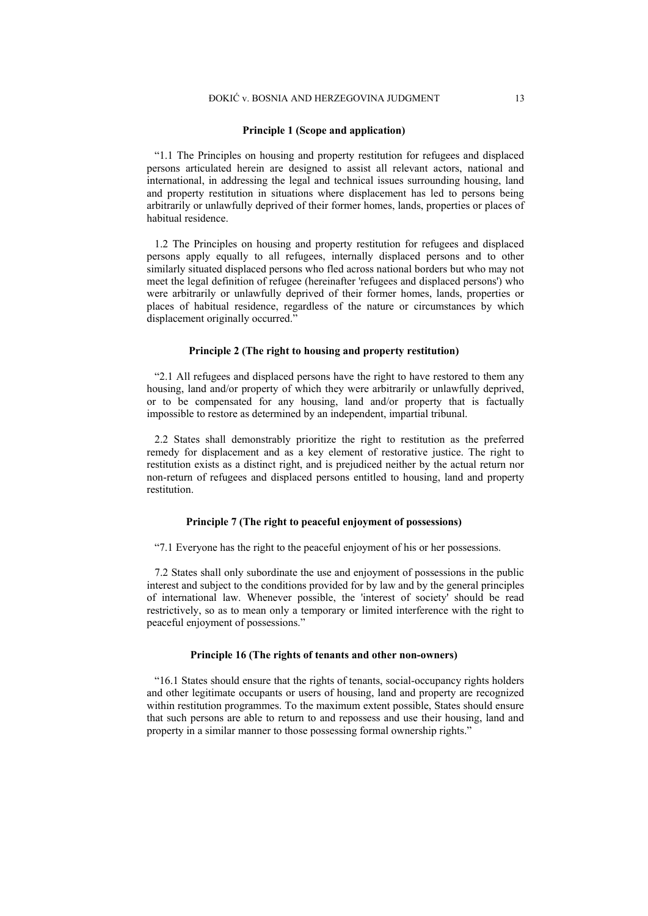#### **Principle 1 (Scope and application)**

"1.1 The Principles on housing and property restitution for refugees and displaced persons articulated herein are designed to assist all relevant actors, national and international, in addressing the legal and technical issues surrounding housing, land and property restitution in situations where displacement has led to persons being arbitrarily or unlawfully deprived of their former homes, lands, properties or places of habitual residence.

1.2 The Principles on housing and property restitution for refugees and displaced persons apply equally to all refugees, internally displaced persons and to other similarly situated displaced persons who fled across national borders but who may not meet the legal definition of refugee (hereinafter 'refugees and displaced persons') who were arbitrarily or unlawfully deprived of their former homes, lands, properties or places of habitual residence, regardless of the nature or circumstances by which displacement originally occurred."

#### **Principle 2 (The right to housing and property restitution)**

"2.1 All refugees and displaced persons have the right to have restored to them any housing, land and/or property of which they were arbitrarily or unlawfully deprived. or to be compensated for any housing, land and/or property that is factually impossible to restore as determined by an independent, impartial tribunal.

2.2 States shall demonstrably prioritize the right to restitution as the preferred remedy for displacement and as a key element of restorative justice. The right to restitution exists as a distinct right, and is prejudiced neither by the actual return nor non-return of refugees and displaced persons entitled to housing, land and property restitution.

#### **Principle 7 (The right to peaceful enjoyment of possessions)**

"7.1 Everyone has the right to the peaceful enjoyment of his or her possessions.

7.2 States shall only subordinate the use and enjoyment of possessions in the public interest and subject to the conditions provided for by law and by the general principles of international law. Whenever possible, the 'interest of society' should be read restrictively, so as to mean only a temporary or limited interference with the right to peaceful enjoyment of possessions."

#### **Principle 16 (The rights of tenants and other non-owners)**

"16.1 States should ensure that the rights of tenants, social-occupancy rights holders and other legitimate occupants or users of housing, land and property are recognized within restitution programmes. To the maximum extent possible, States should ensure that such persons are able to return to and repossess and use their housing, land and property in a similar manner to those possessing formal ownership rights."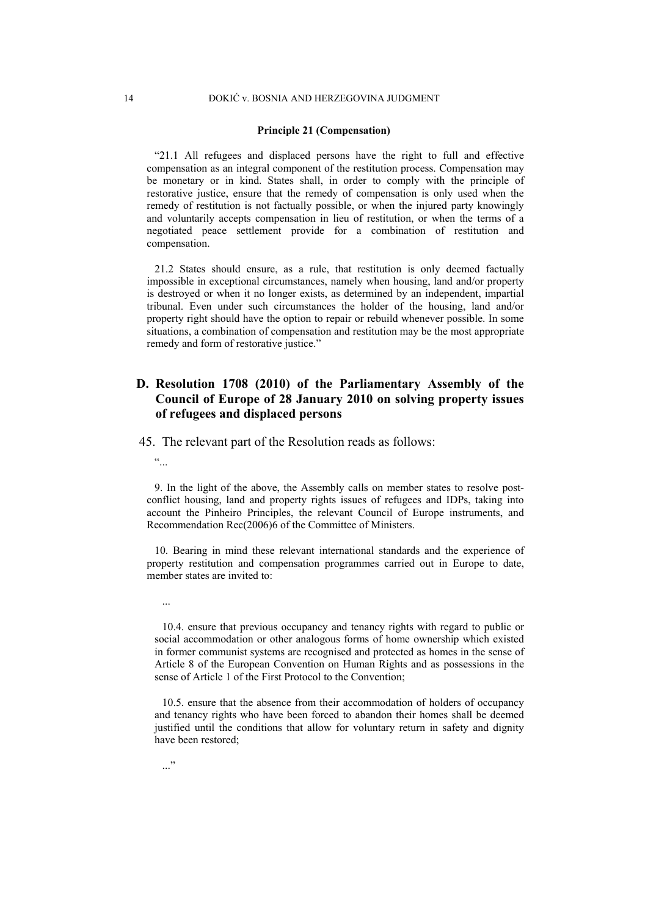#### **Principle 21 (Compensation)**

"21.1 All refugees and displaced persons have the right to full and effective compensation as an integral component of the restitution process. Compensation may be monetary or in kind. States shall, in order to comply with the principle of restorative justice, ensure that the remedy of compensation is only used when the remedy of restitution is not factually possible, or when the injured party knowingly and voluntarily accepts compensation in lieu of restitution, or when the terms of a negotiated peace settlement provide for a combination of restitution and compensation.

21.2 States should ensure, as a rule, that restitution is only deemed factually impossible in exceptional circumstances, namely when housing, land and/or property is destroyed or when it no longer exists, as determined by an independent, impartial tribunal. Even under such circumstances the holder of the housing, land and/or property right should have the option to repair or rebuild whenever possible. In some situations, a combination of compensation and restitution may be the most appropriate remedy and form of restorative justice."

# **D. Resolution 1708 (2010) of the Parliamentary Assembly of the Council of Europe of 28 January 2010 on solving property issues of refugees and displaced persons**

45. The relevant part of the Resolution reads as follows:

 $\ddot{\cdot}$ 

...

9. In the light of the above, the Assembly calls on member states to resolve postconflict housing, land and property rights issues of refugees and IDPs, taking into account the Pinheiro Principles, the relevant Council of Europe instruments, and Recommendation Rec(2006)6 of the Committee of Ministers.

10. Bearing in mind these relevant international standards and the experience of property restitution and compensation programmes carried out in Europe to date, member states are invited to:

10.4. ensure that previous occupancy and tenancy rights with regard to public or social accommodation or other analogous forms of home ownership which existed in former communist systems are recognised and protected as homes in the sense of Article 8 of the European Convention on Human Rights and as possessions in the sense of Article 1 of the First Protocol to the Convention;

10.5. ensure that the absence from their accommodation of holders of occupancy and tenancy rights who have been forced to abandon their homes shall be deemed justified until the conditions that allow for voluntary return in safety and dignity have been restored;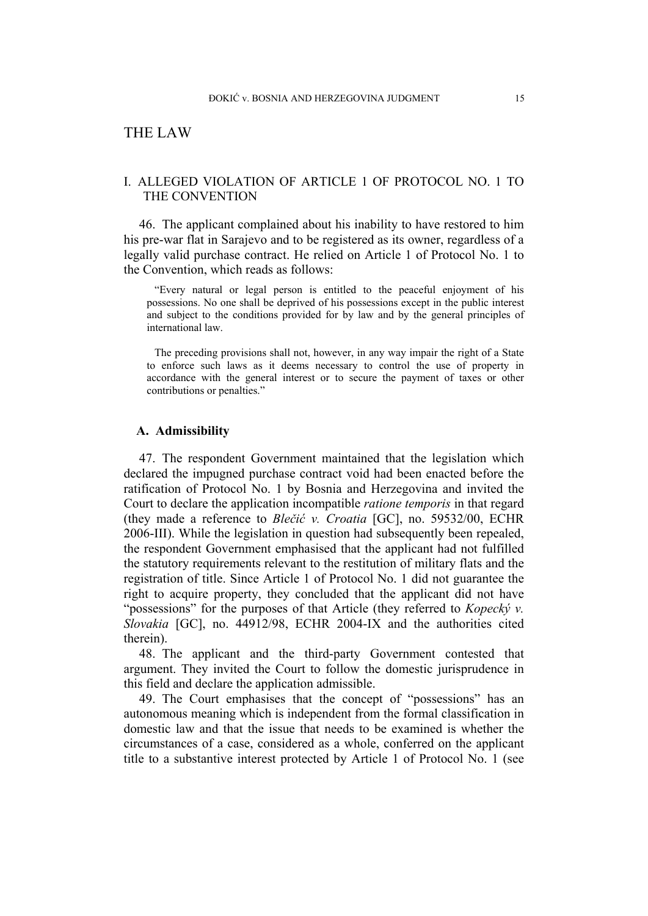# THE LAW

# I. ALLEGED VIOLATION OF ARTICLE 1 OF PROTOCOL NO. 1 TO THE CONVENTION

46. The applicant complained about his inability to have restored to him his pre-war flat in Sarajevo and to be registered as its owner, regardless of a legally valid purchase contract. He relied on Article 1 of Protocol No. 1 to the Convention, which reads as follows:

"Every natural or legal person is entitled to the peaceful enjoyment of his possessions. No one shall be deprived of his possessions except in the public interest and subject to the conditions provided for by law and by the general principles of international law.

The preceding provisions shall not, however, in any way impair the right of a State to enforce such laws as it deems necessary to control the use of property in accordance with the general interest or to secure the payment of taxes or other contributions or penalties."

#### **A. Admissibility**

47. The respondent Government maintained that the legislation which declared the impugned purchase contract void had been enacted before the ratification of Protocol No. 1 by Bosnia and Herzegovina and invited the Court to declare the application incompatible *ratione temporis* in that regard (they made a reference to *Blečić v. Croatia* [GC], no. 59532/00, ECHR 2006-III). While the legislation in question had subsequently been repealed, the respondent Government emphasised that the applicant had not fulfilled the statutory requirements relevant to the restitution of military flats and the registration of title. Since Article 1 of Protocol No. 1 did not guarantee the right to acquire property, they concluded that the applicant did not have "possessions" for the purposes of that Article (they referred to *Kopecký v. Slovakia* [GC], no. 44912/98, ECHR 2004-IX and the authorities cited therein).

48. The applicant and the third-party Government contested that argument. They invited the Court to follow the domestic jurisprudence in this field and declare the application admissible.

49. The Court emphasises that the concept of "possessions" has an autonomous meaning which is independent from the formal classification in domestic law and that the issue that needs to be examined is whether the circumstances of a case, considered as a whole, conferred on the applicant title to a substantive interest protected by Article 1 of Protocol No. 1 (see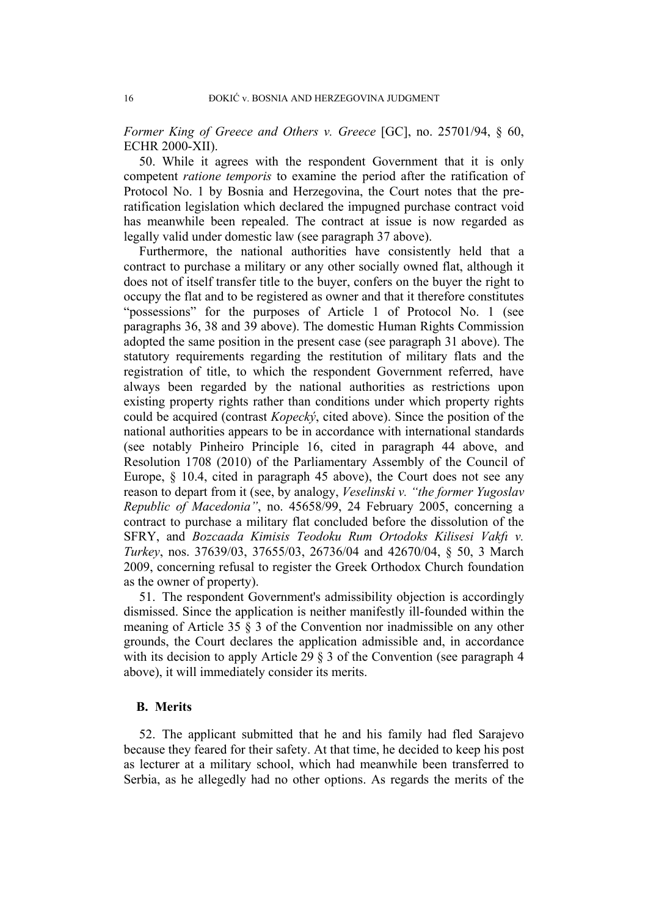*Former King of Greece and Others v. Greece* [GC], no. 25701/94, § 60, ECHR 2000-XII).

50. While it agrees with the respondent Government that it is only competent *ratione temporis* to examine the period after the ratification of Protocol No. 1 by Bosnia and Herzegovina, the Court notes that the preratification legislation which declared the impugned purchase contract void has meanwhile been repealed. The contract at issue is now regarded as legally valid under domestic law (see paragraph 37 above).

Furthermore, the national authorities have consistently held that a contract to purchase a military or any other socially owned flat, although it does not of itself transfer title to the buyer, confers on the buyer the right to occupy the flat and to be registered as owner and that it therefore constitutes "possessions" for the purposes of Article 1 of Protocol No. 1 (see paragraphs 36, 38 and 39 above). The domestic Human Rights Commission adopted the same position in the present case (see paragraph 31 above). The statutory requirements regarding the restitution of military flats and the registration of title, to which the respondent Government referred, have always been regarded by the national authorities as restrictions upon existing property rights rather than conditions under which property rights could be acquired (contrast *Kopecký*, cited above). Since the position of the national authorities appears to be in accordance with international standards (see notably Pinheiro Principle 16, cited in paragraph 44 above, and Resolution 1708 (2010) of the Parliamentary Assembly of the Council of Europe, § 10.4, cited in paragraph 45 above), the Court does not see any reason to depart from it (see, by analogy, *Veselinski v. "the former Yugoslav Republic of Macedonia"*, no. 45658/99, 24 February 2005, concerning a contract to purchase a military flat concluded before the dissolution of the SFRY, and *Bozcaada Kimisis Teodoku Rum Ortodoks Kilisesi Vakfı v. Turkey*, nos. 37639/03, 37655/03, 26736/04 and 42670/04, § 50, 3 March 2009, concerning refusal to register the Greek Orthodox Church foundation as the owner of property).

51. The respondent Government's admissibility objection is accordingly dismissed. Since the application is neither manifestly ill-founded within the meaning of Article 35 § 3 of the Convention nor inadmissible on any other grounds, the Court declares the application admissible and, in accordance with its decision to apply Article 29  $\S$  3 of the Convention (see paragraph 4 above), it will immediately consider its merits.

# **B. Merits**

52. The applicant submitted that he and his family had fled Sarajevo because they feared for their safety. At that time, he decided to keep his post as lecturer at a military school, which had meanwhile been transferred to Serbia, as he allegedly had no other options. As regards the merits of the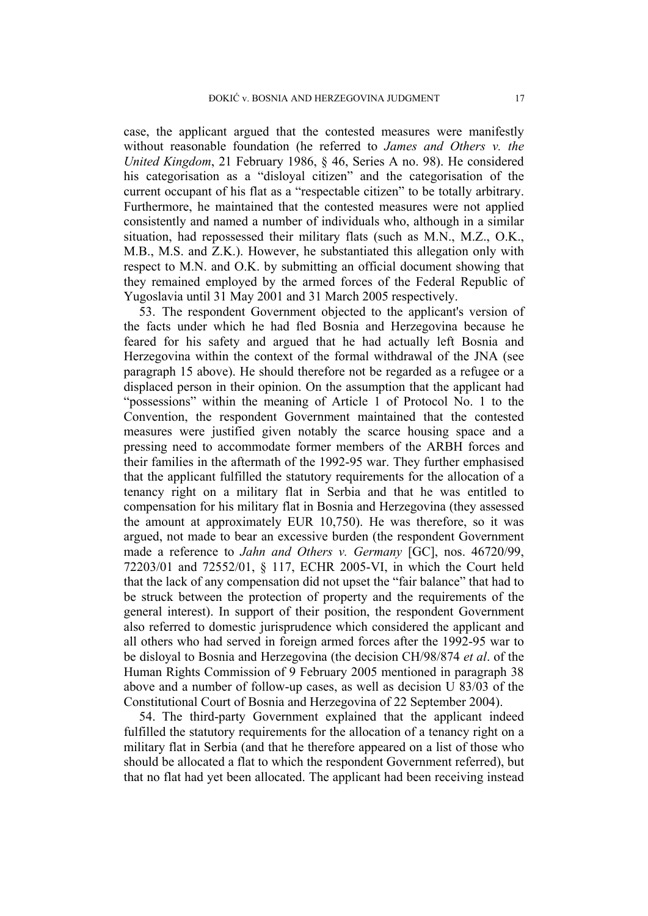case, the applicant argued that the contested measures were manifestly without reasonable foundation (he referred to *James and Others v. the United Kingdom*, 21 February 1986, § 46, Series A no. 98). He considered his categorisation as a "disloyal citizen" and the categorisation of the current occupant of his flat as a "respectable citizen" to be totally arbitrary. Furthermore, he maintained that the contested measures were not applied consistently and named a number of individuals who, although in a similar situation, had repossessed their military flats (such as M.N., M.Z., O.K., M.B., M.S. and Z.K.). However, he substantiated this allegation only with respect to M.N. and O.K. by submitting an official document showing that they remained employed by the armed forces of the Federal Republic of Yugoslavia until 31 May 2001 and 31 March 2005 respectively.

53. The respondent Government objected to the applicant's version of the facts under which he had fled Bosnia and Herzegovina because he feared for his safety and argued that he had actually left Bosnia and Herzegovina within the context of the formal withdrawal of the JNA (see paragraph 15 above). He should therefore not be regarded as a refugee or a displaced person in their opinion. On the assumption that the applicant had "possessions" within the meaning of Article 1 of Protocol No. 1 to the Convention, the respondent Government maintained that the contested measures were justified given notably the scarce housing space and a pressing need to accommodate former members of the ARBH forces and their families in the aftermath of the 1992-95 war. They further emphasised that the applicant fulfilled the statutory requirements for the allocation of a tenancy right on a military flat in Serbia and that he was entitled to compensation for his military flat in Bosnia and Herzegovina (they assessed the amount at approximately EUR 10,750). He was therefore, so it was argued, not made to bear an excessive burden (the respondent Government made a reference to *Jahn and Others v. Germany* [GC], nos. 46720/99, 72203/01 and 72552/01, § 117, ECHR 2005-VI, in which the Court held that the lack of any compensation did not upset the "fair balance" that had to be struck between the protection of property and the requirements of the general interest). In support of their position, the respondent Government also referred to domestic jurisprudence which considered the applicant and all others who had served in foreign armed forces after the 1992-95 war to be disloyal to Bosnia and Herzegovina (the decision CH/98/874 *et al*. of the Human Rights Commission of 9 February 2005 mentioned in paragraph 38 above and a number of follow-up cases, as well as decision U 83/03 of the Constitutional Court of Bosnia and Herzegovina of 22 September 2004).

54. The third-party Government explained that the applicant indeed fulfilled the statutory requirements for the allocation of a tenancy right on a military flat in Serbia (and that he therefore appeared on a list of those who should be allocated a flat to which the respondent Government referred), but that no flat had yet been allocated. The applicant had been receiving instead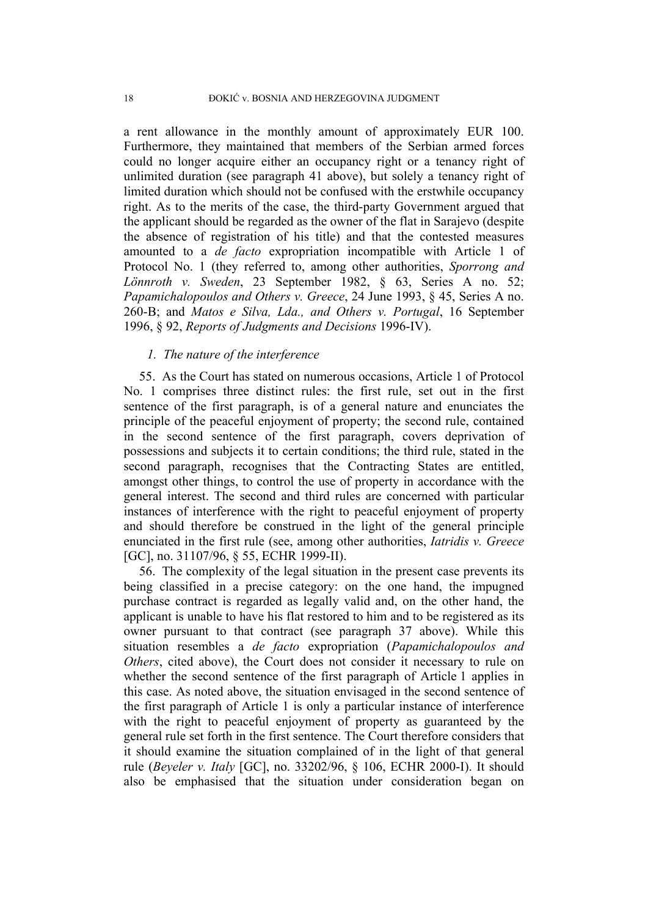a rent allowance in the monthly amount of approximately EUR 100. Furthermore, they maintained that members of the Serbian armed forces could no longer acquire either an occupancy right or a tenancy right of unlimited duration (see paragraph 41 above), but solely a tenancy right of limited duration which should not be confused with the erstwhile occupancy right. As to the merits of the case, the third-party Government argued that the applicant should be regarded as the owner of the flat in Sarajevo (despite the absence of registration of his title) and that the contested measures amounted to a *de facto* expropriation incompatible with Article 1 of Protocol No. 1 (they referred to, among other authorities, *Sporrong and Lönnroth v. Sweden*, 23 September 1982, § 63, Series A no. 52; *Papamichalopoulos and Others v. Greece*, 24 June 1993, § 45, Series A no. 260-B; and *Matos e Silva, Lda., and Others v. Portugal*, 16 September 1996, § 92, *Reports of Judgments and Decisions* 1996-IV).

# *1. The nature of the interference*

55. As the Court has stated on numerous occasions, Article 1 of Protocol No. 1 comprises three distinct rules: the first rule, set out in the first sentence of the first paragraph, is of a general nature and enunciates the principle of the peaceful enjoyment of property; the second rule, contained in the second sentence of the first paragraph, covers deprivation of possessions and subjects it to certain conditions; the third rule, stated in the second paragraph, recognises that the Contracting States are entitled, amongst other things, to control the use of property in accordance with the general interest. The second and third rules are concerned with particular instances of interference with the right to peaceful enjoyment of property and should therefore be construed in the light of the general principle enunciated in the first rule (see, among other authorities, *Iatridis v. Greece* [GC], no. 31107/96, § 55, ECHR 1999-II).

56. The complexity of the legal situation in the present case prevents its being classified in a precise category: on the one hand, the impugned purchase contract is regarded as legally valid and, on the other hand, the applicant is unable to have his flat restored to him and to be registered as its owner pursuant to that contract (see paragraph 37 above). While this situation resembles a *de facto* expropriation (*Papamichalopoulos and Others*, cited above), the Court does not consider it necessary to rule on whether the second sentence of the first paragraph of Article 1 applies in this case. As noted above, the situation envisaged in the second sentence of the first paragraph of Article 1 is only a particular instance of interference with the right to peaceful enjoyment of property as guaranteed by the general rule set forth in the first sentence. The Court therefore considers that it should examine the situation complained of in the light of that general rule (*Beyeler v. Italy* [GC], no. 33202/96, § 106, ECHR 2000-I). It should also be emphasised that the situation under consideration began on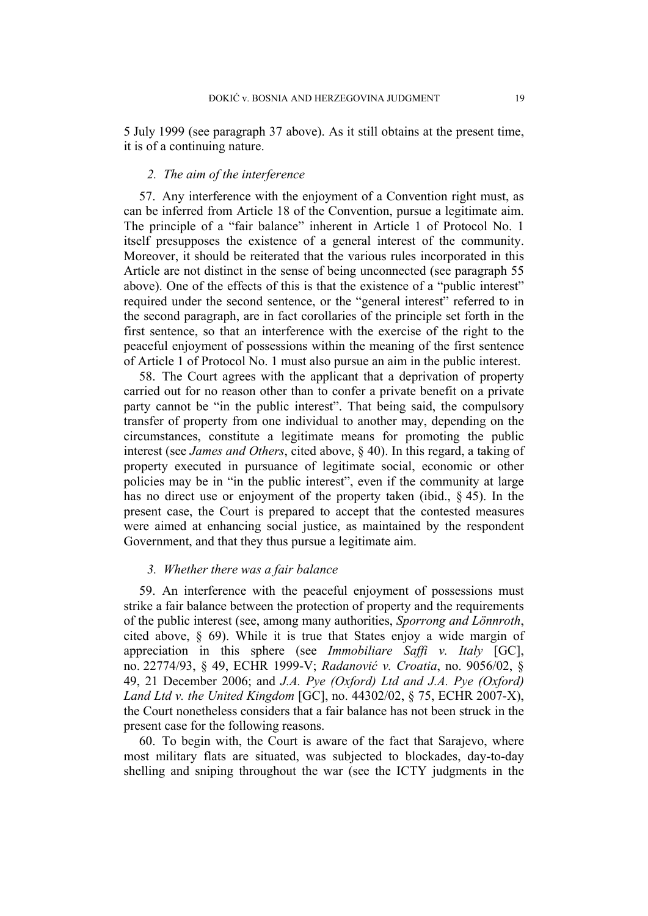5 July 1999 (see paragraph 37 above). As it still obtains at the present time, it is of a continuing nature.

# *2. The aim of the interference*

57. Any interference with the enjoyment of a Convention right must, as can be inferred from Article 18 of the Convention, pursue a legitimate aim. The principle of a "fair balance" inherent in Article 1 of Protocol No. 1 itself presupposes the existence of a general interest of the community. Moreover, it should be reiterated that the various rules incorporated in this Article are not distinct in the sense of being unconnected (see paragraph 55 above). One of the effects of this is that the existence of a "public interest" required under the second sentence, or the "general interest" referred to in the second paragraph, are in fact corollaries of the principle set forth in the first sentence, so that an interference with the exercise of the right to the peaceful enjoyment of possessions within the meaning of the first sentence of Article 1 of Protocol No. 1 must also pursue an aim in the public interest.

58. The Court agrees with the applicant that a deprivation of property carried out for no reason other than to confer a private benefit on a private party cannot be "in the public interest". That being said, the compulsory transfer of property from one individual to another may, depending on the circumstances, constitute a legitimate means for promoting the public interest (see *James and Others*, cited above, § 40). In this regard, a taking of property executed in pursuance of legitimate social, economic or other policies may be in "in the public interest", even if the community at large has no direct use or enjoyment of the property taken (ibid., § 45). In the present case, the Court is prepared to accept that the contested measures were aimed at enhancing social justice, as maintained by the respondent Government, and that they thus pursue a legitimate aim.

### *3. Whether there was a fair balance*

59. An interference with the peaceful enjoyment of possessions must strike a fair balance between the protection of property and the requirements of the public interest (see, among many authorities, *Sporrong and Lönnroth*, cited above, § 69). While it is true that States enjoy a wide margin of appreciation in this sphere (see *Immobiliare Saffi v. Italy* [GC], no. 22774/93, § 49, ECHR 1999-V; *Radanović v. Croatia*, no. 9056/02, § 49, 21 December 2006; and *J.A. Pye (Oxford) Ltd and J.A. Pye (Oxford) Land Ltd v. the United Kingdom* [GC], no. 44302/02, § 75, ECHR 2007-X), the Court nonetheless considers that a fair balance has not been struck in the present case for the following reasons.

60. To begin with, the Court is aware of the fact that Sarajevo, where most military flats are situated, was subjected to blockades, day-to-day shelling and sniping throughout the war (see the ICTY judgments in the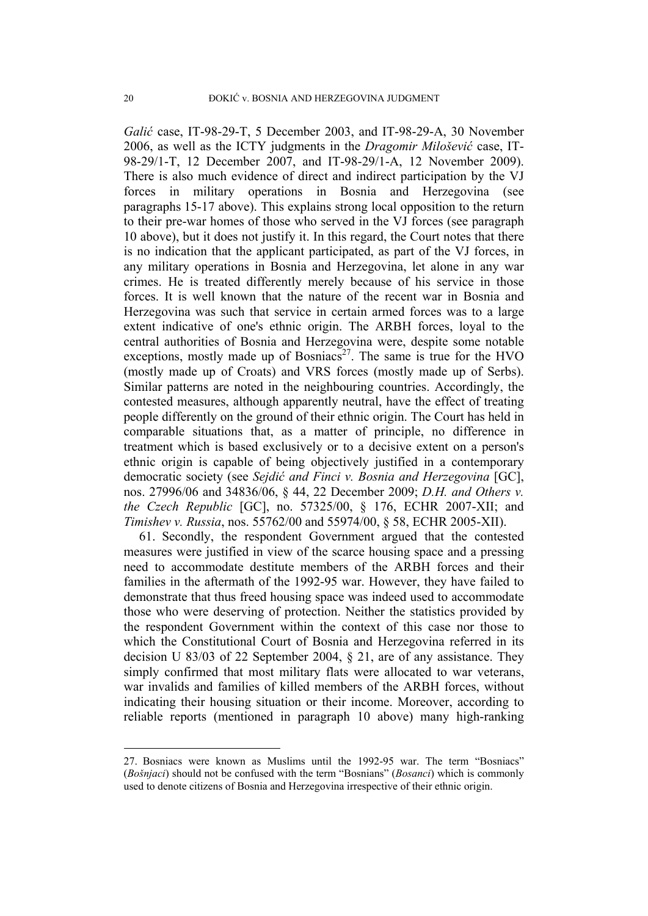*Galić* case, IT-98-29-T, 5 December 2003, and IT-98-29-A, 30 November 2006, as well as the ICTY judgments in the *Dragomir Milošević* case, IT-98-29/1-T, 12 December 2007, and IT-98-29/1-A, 12 November 2009). There is also much evidence of direct and indirect participation by the VJ forces in military operations in Bosnia and Herzegovina (see paragraphs 15-17 above). This explains strong local opposition to the return to their pre-war homes of those who served in the VJ forces (see paragraph 10 above), but it does not justify it. In this regard, the Court notes that there is no indication that the applicant participated, as part of the VJ forces, in any military operations in Bosnia and Herzegovina, let alone in any war crimes. He is treated differently merely because of his service in those forces. It is well known that the nature of the recent war in Bosnia and Herzegovina was such that service in certain armed forces was to a large extent indicative of one's ethnic origin. The ARBH forces, loyal to the central authorities of Bosnia and Herzegovina were, despite some notable exceptions, mostly made up of Bosniacs<sup>27</sup>. The same is true for the HVO (mostly made up of Croats) and VRS forces (mostly made up of Serbs). Similar patterns are noted in the neighbouring countries. Accordingly, the contested measures, although apparently neutral, have the effect of treating people differently on the ground of their ethnic origin. The Court has held in comparable situations that, as a matter of principle, no difference in treatment which is based exclusively or to a decisive extent on a person's ethnic origin is capable of being objectively justified in a contemporary democratic society (see *Sejdić and Finci v. Bosnia and Herzegovina* [GC], nos. 27996/06 and 34836/06, § 44, 22 December 2009; *D.H. and Others v. the Czech Republic* [GC], no. 57325/00, § 176, ECHR 2007-XII; and *Timishev v. Russia*, nos. 55762/00 and 55974/00, § 58, ECHR 2005-XII).

61. Secondly, the respondent Government argued that the contested measures were justified in view of the scarce housing space and a pressing need to accommodate destitute members of the ARBH forces and their families in the aftermath of the 1992-95 war. However, they have failed to demonstrate that thus freed housing space was indeed used to accommodate those who were deserving of protection. Neither the statistics provided by the respondent Government within the context of this case nor those to which the Constitutional Court of Bosnia and Herzegovina referred in its decision U 83/03 of 22 September 2004, § 21, are of any assistance. They simply confirmed that most military flats were allocated to war veterans, war invalids and families of killed members of the ARBH forces, without indicating their housing situation or their income. Moreover, according to reliable reports (mentioned in paragraph 10 above) many high-ranking

<sup>27.</sup> Bosniacs were known as Muslims until the 1992-95 war. The term "Bosniacs" (*Bošnjaci*) should not be confused with the term "Bosnians" (*Bosanci*) which is commonly used to denote citizens of Bosnia and Herzegovina irrespective of their ethnic origin.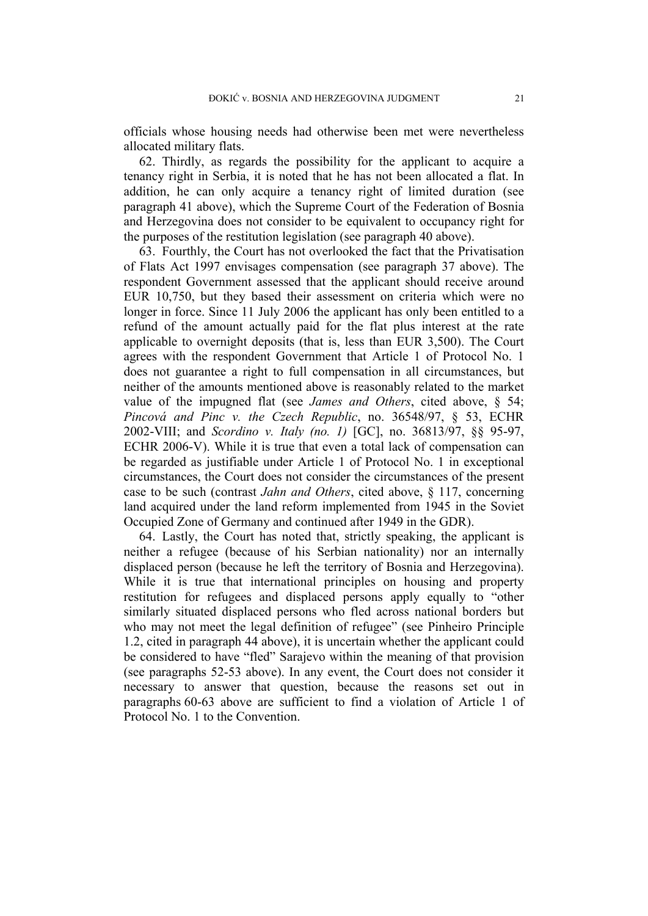officials whose housing needs had otherwise been met were nevertheless allocated military flats.

62. Thirdly, as regards the possibility for the applicant to acquire a tenancy right in Serbia, it is noted that he has not been allocated a flat. In addition, he can only acquire a tenancy right of limited duration (see paragraph 41 above), which the Supreme Court of the Federation of Bosnia and Herzegovina does not consider to be equivalent to occupancy right for the purposes of the restitution legislation (see paragraph 40 above).

63. Fourthly, the Court has not overlooked the fact that the Privatisation of Flats Act 1997 envisages compensation (see paragraph 37 above). The respondent Government assessed that the applicant should receive around EUR 10,750, but they based their assessment on criteria which were no longer in force. Since 11 July 2006 the applicant has only been entitled to a refund of the amount actually paid for the flat plus interest at the rate applicable to overnight deposits (that is, less than EUR 3,500). The Court agrees with the respondent Government that Article 1 of Protocol No. 1 does not guarantee a right to full compensation in all circumstances, but neither of the amounts mentioned above is reasonably related to the market value of the impugned flat (see *James and Others*, cited above, § 54; *Pincová and Pinc v. the Czech Republic*, no. 36548/97, § 53, ECHR 2002-VIII; and *Scordino v. Italy (no. 1)* [GC], no. 36813/97, §§ 95-97, ECHR 2006-V). While it is true that even a total lack of compensation can be regarded as justifiable under Article 1 of Protocol No. 1 in exceptional circumstances, the Court does not consider the circumstances of the present case to be such (contrast *Jahn and Others*, cited above, § 117, concerning land acquired under the land reform implemented from 1945 in the Soviet Occupied Zone of Germany and continued after 1949 in the GDR).

64. Lastly, the Court has noted that, strictly speaking, the applicant is neither a refugee (because of his Serbian nationality) nor an internally displaced person (because he left the territory of Bosnia and Herzegovina). While it is true that international principles on housing and property restitution for refugees and displaced persons apply equally to "other similarly situated displaced persons who fled across national borders but who may not meet the legal definition of refugee" (see Pinheiro Principle 1.2, cited in paragraph 44 above), it is uncertain whether the applicant could be considered to have "fled" Sarajevo within the meaning of that provision (see paragraphs 52-53 above). In any event, the Court does not consider it necessary to answer that question, because the reasons set out in paragraphs 60-63 above are sufficient to find a violation of Article 1 of Protocol No. 1 to the Convention.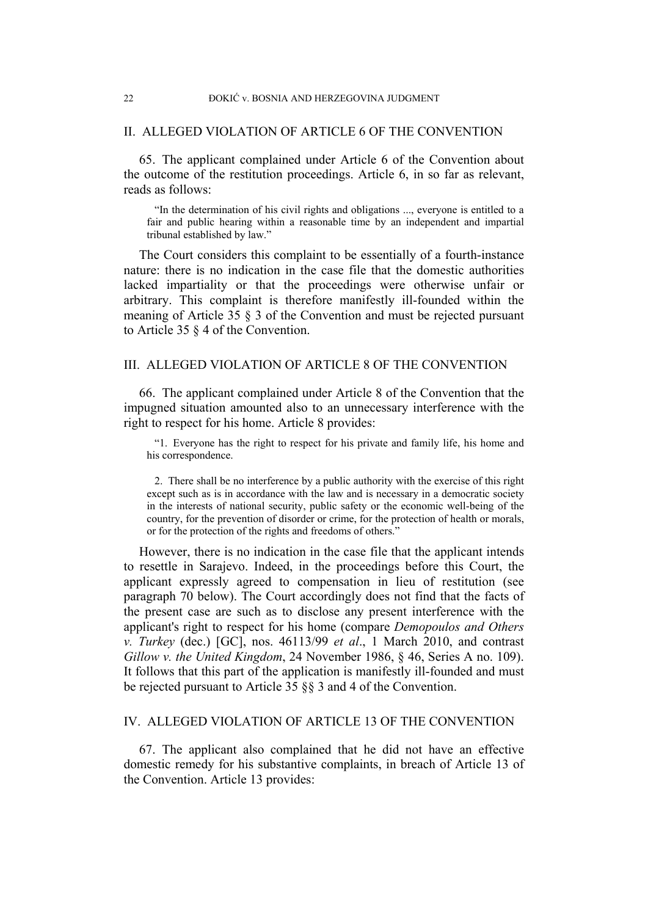### II. ALLEGED VIOLATION OF ARTICLE 6 OF THE CONVENTION

65. The applicant complained under Article 6 of the Convention about the outcome of the restitution proceedings. Article 6, in so far as relevant, reads as follows:

"In the determination of his civil rights and obligations ..., everyone is entitled to a fair and public hearing within a reasonable time by an independent and impartial tribunal established by law."

The Court considers this complaint to be essentially of a fourth-instance nature: there is no indication in the case file that the domestic authorities lacked impartiality or that the proceedings were otherwise unfair or arbitrary. This complaint is therefore manifestly ill-founded within the meaning of Article 35 § 3 of the Convention and must be rejected pursuant to Article 35 § 4 of the Convention.

# III. ALLEGED VIOLATION OF ARTICLE 8 OF THE CONVENTION

66. The applicant complained under Article 8 of the Convention that the impugned situation amounted also to an unnecessary interference with the right to respect for his home. Article 8 provides:

"1. Everyone has the right to respect for his private and family life, his home and his correspondence.

2. There shall be no interference by a public authority with the exercise of this right except such as is in accordance with the law and is necessary in a democratic society in the interests of national security, public safety or the economic well-being of the country, for the prevention of disorder or crime, for the protection of health or morals, or for the protection of the rights and freedoms of others."

However, there is no indication in the case file that the applicant intends to resettle in Sarajevo. Indeed, in the proceedings before this Court, the applicant expressly agreed to compensation in lieu of restitution (see paragraph 70 below). The Court accordingly does not find that the facts of the present case are such as to disclose any present interference with the applicant's right to respect for his home (compare *Demopoulos and Others v. Turkey* (dec.) [GC], nos. 46113/99 *et al*., 1 March 2010, and contrast *Gillow v. the United Kingdom*, 24 November 1986, § 46, Series A no. 109). It follows that this part of the application is manifestly ill-founded and must be rejected pursuant to Article 35 §§ 3 and 4 of the Convention.

# IV. ALLEGED VIOLATION OF ARTICLE 13 OF THE CONVENTION

67. The applicant also complained that he did not have an effective domestic remedy for his substantive complaints, in breach of Article 13 of the Convention. Article 13 provides: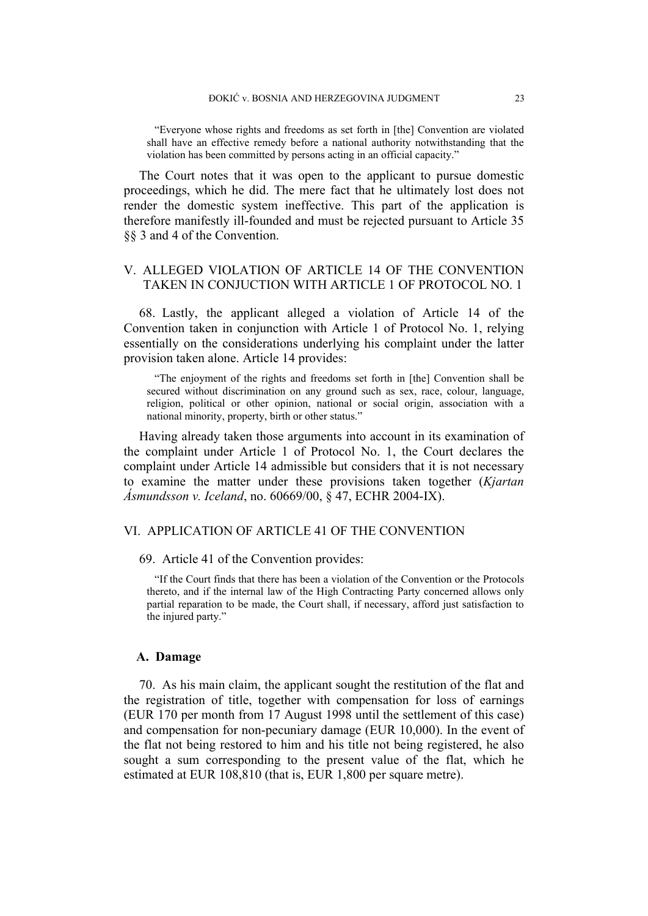"Everyone whose rights and freedoms as set forth in [the] Convention are violated shall have an effective remedy before a national authority notwithstanding that the violation has been committed by persons acting in an official capacity."

The Court notes that it was open to the applicant to pursue domestic proceedings, which he did. The mere fact that he ultimately lost does not render the domestic system ineffective. This part of the application is therefore manifestly ill-founded and must be rejected pursuant to Article 35 §§ 3 and 4 of the Convention.

# V. ALLEGED VIOLATION OF ARTICLE 14 OF THE CONVENTION TAKEN IN CONJUCTION WITH ARTICLE 1 OF PROTOCOL NO. 1

68. Lastly, the applicant alleged a violation of Article 14 of the Convention taken in conjunction with Article 1 of Protocol No. 1, relying essentially on the considerations underlying his complaint under the latter provision taken alone. Article 14 provides:

"The enjoyment of the rights and freedoms set forth in [the] Convention shall be secured without discrimination on any ground such as sex, race, colour, language, religion, political or other opinion, national or social origin, association with a national minority, property, birth or other status."

Having already taken those arguments into account in its examination of the complaint under Article 1 of Protocol No. 1, the Court declares the complaint under Article 14 admissible but considers that it is not necessary to examine the matter under these provisions taken together (*Kjartan Ásmundsson v. Iceland*, no. 60669/00, § 47, ECHR 2004-IX).

# VI. APPLICATION OF ARTICLE 41 OF THE CONVENTION

69. Article 41 of the Convention provides:

"If the Court finds that there has been a violation of the Convention or the Protocols thereto, and if the internal law of the High Contracting Party concerned allows only partial reparation to be made, the Court shall, if necessary, afford just satisfaction to the injured party."

#### **A. Damage**

70. As his main claim, the applicant sought the restitution of the flat and the registration of title, together with compensation for loss of earnings (EUR 170 per month from 17 August 1998 until the settlement of this case) and compensation for non-pecuniary damage (EUR 10,000). In the event of the flat not being restored to him and his title not being registered, he also sought a sum corresponding to the present value of the flat, which he estimated at EUR 108,810 (that is, EUR 1,800 per square metre).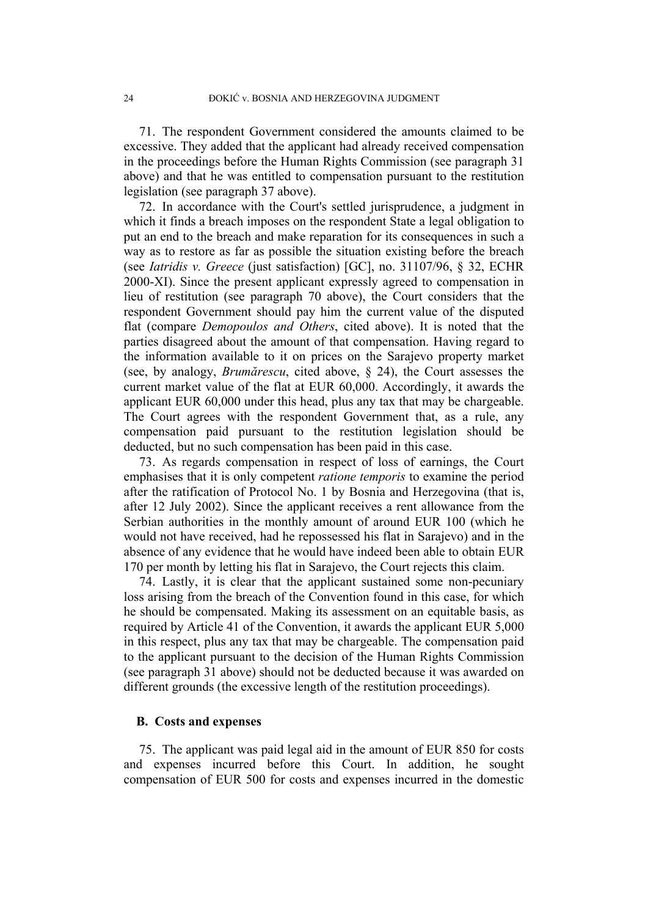71. The respondent Government considered the amounts claimed to be excessive. They added that the applicant had already received compensation in the proceedings before the Human Rights Commission (see paragraph 31 above) and that he was entitled to compensation pursuant to the restitution legislation (see paragraph 37 above).

72. In accordance with the Court's settled jurisprudence, a judgment in which it finds a breach imposes on the respondent State a legal obligation to put an end to the breach and make reparation for its consequences in such a way as to restore as far as possible the situation existing before the breach (see *Iatridis v. Greece* (just satisfaction) [GC], no. 31107/96, § 32, ECHR 2000-XI). Since the present applicant expressly agreed to compensation in lieu of restitution (see paragraph 70 above), the Court considers that the respondent Government should pay him the current value of the disputed flat (compare *Demopoulos and Others*, cited above). It is noted that the parties disagreed about the amount of that compensation. Having regard to the information available to it on prices on the Sarajevo property market (see, by analogy, *Brumărescu*, cited above, § 24), the Court assesses the current market value of the flat at EUR 60,000. Accordingly, it awards the applicant EUR 60,000 under this head, plus any tax that may be chargeable. The Court agrees with the respondent Government that, as a rule, any compensation paid pursuant to the restitution legislation should be deducted, but no such compensation has been paid in this case.

73. As regards compensation in respect of loss of earnings, the Court emphasises that it is only competent *ratione temporis* to examine the period after the ratification of Protocol No. 1 by Bosnia and Herzegovina (that is, after 12 July 2002). Since the applicant receives a rent allowance from the Serbian authorities in the monthly amount of around EUR 100 (which he would not have received, had he repossessed his flat in Sarajevo) and in the absence of any evidence that he would have indeed been able to obtain EUR 170 per month by letting his flat in Sarajevo, the Court rejects this claim.

74. Lastly, it is clear that the applicant sustained some non-pecuniary loss arising from the breach of the Convention found in this case, for which he should be compensated. Making its assessment on an equitable basis, as required by Article 41 of the Convention, it awards the applicant EUR 5,000 in this respect, plus any tax that may be chargeable. The compensation paid to the applicant pursuant to the decision of the Human Rights Commission (see paragraph 31 above) should not be deducted because it was awarded on different grounds (the excessive length of the restitution proceedings).

# **B. Costs and expenses**

75. The applicant was paid legal aid in the amount of EUR 850 for costs and expenses incurred before this Court. In addition, he sought compensation of EUR 500 for costs and expenses incurred in the domestic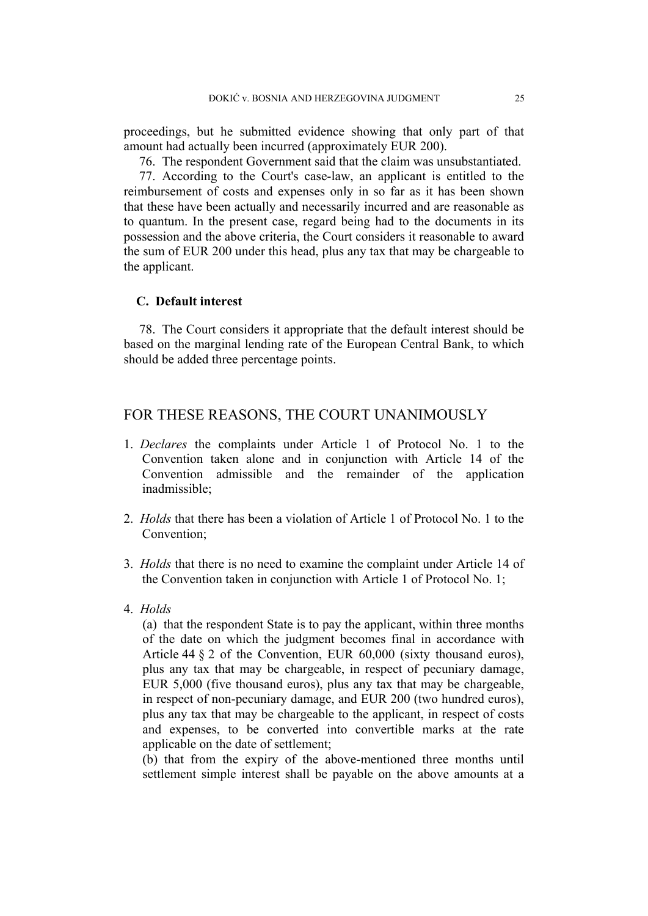proceedings, but he submitted evidence showing that only part of that amount had actually been incurred (approximately EUR 200).

76. The respondent Government said that the claim was unsubstantiated.

77. According to the Court's case-law, an applicant is entitled to the reimbursement of costs and expenses only in so far as it has been shown that these have been actually and necessarily incurred and are reasonable as to quantum. In the present case, regard being had to the documents in its possession and the above criteria, the Court considers it reasonable to award the sum of EUR 200 under this head, plus any tax that may be chargeable to the applicant.

# **C. Default interest**

78. The Court considers it appropriate that the default interest should be based on the marginal lending rate of the European Central Bank, to which should be added three percentage points.

# FOR THESE REASONS, THE COURT UNANIMOUSLY

- 1. *Declares* the complaints under Article 1 of Protocol No. 1 to the Convention taken alone and in conjunction with Article 14 of the Convention admissible and the remainder of the application inadmissible;
- 2. *Holds* that there has been a violation of Article 1 of Protocol No. 1 to the Convention;
- 3. *Holds* that there is no need to examine the complaint under Article 14 of the Convention taken in conjunction with Article 1 of Protocol No. 1;
- 4. *Holds*

(a) that the respondent State is to pay the applicant, within three months of the date on which the judgment becomes final in accordance with Article 44 § 2 of the Convention, EUR 60,000 (sixty thousand euros), plus any tax that may be chargeable, in respect of pecuniary damage, EUR 5,000 (five thousand euros), plus any tax that may be chargeable, in respect of non-pecuniary damage, and EUR 200 (two hundred euros), plus any tax that may be chargeable to the applicant, in respect of costs and expenses, to be converted into convertible marks at the rate applicable on the date of settlement;

(b) that from the expiry of the above-mentioned three months until settlement simple interest shall be payable on the above amounts at a